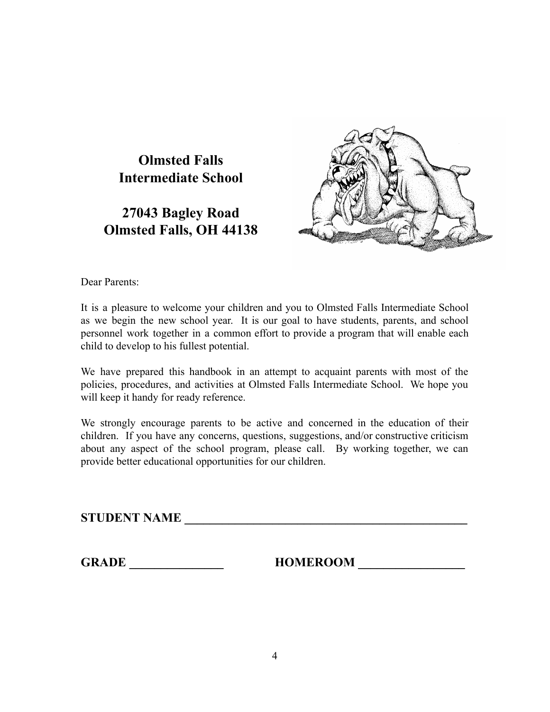**Olmsted Falls Intermediate School**

**27043 Bagley Road Olmsted Falls, OH 44138**



Dear Parents:

It is a pleasure to welcome your children and you to Olmsted Falls Intermediate School as we begin the new school year. It is our goal to have students, parents, and school personnel work together in a common effort to provide a program that will enable each child to develop to his fullest potential.

We have prepared this handbook in an attempt to acquaint parents with most of the policies, procedures, and activities at Olmsted Falls Intermediate School. We hope you will keep it handy for ready reference.

We strongly encourage parents to be active and concerned in the education of their children. If you have any concerns, questions, suggestions, and/or constructive criticism about any aspect of the school program, please call. By working together, we can provide better educational opportunities for our children.

**GRADE \_\_\_\_\_\_\_\_\_\_\_\_\_\_\_ HOMEROOM \_\_\_\_\_\_\_\_\_\_\_\_\_\_\_\_\_**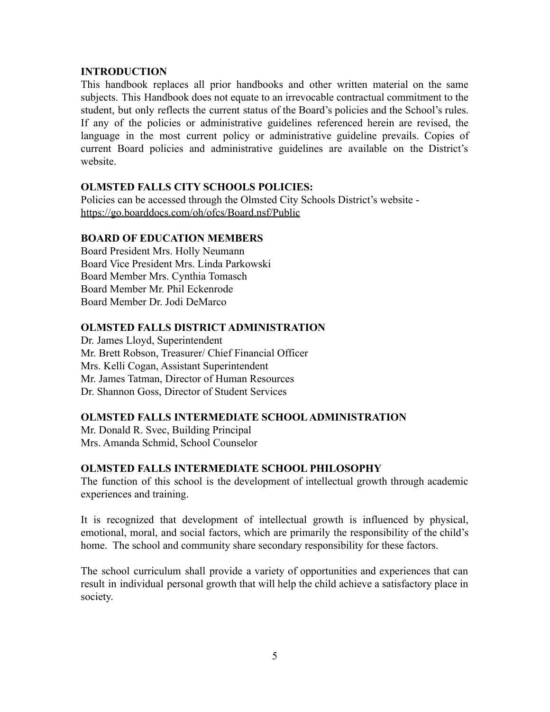#### **INTRODUCTION**

This handbook replaces all prior handbooks and other written material on the same subjects. This Handbook does not equate to an irrevocable contractual commitment to the student, but only reflects the current status of the Board's policies and the School's rules. If any of the policies or administrative guidelines referenced herein are revised, the language in the most current policy or administrative guideline prevails. Copies of current Board policies and administrative guidelines are available on the District's website.

#### **OLMSTED FALLS CITY SCHOOLS POLICIES:**

Policies can be accessed through the Olmsted City Schools District's website <https://go.boarddocs.com/oh/ofcs/Board.nsf/Public>

#### **BOARD OF EDUCATION MEMBERS**

Board President Mrs. Holly Neumann Board Vice President Mrs. Linda Parkowski Board Member Mrs. Cynthia Tomasch Board Member Mr. Phil Eckenrode Board Member Dr. Jodi DeMarco

#### **OLMSTED FALLS DISTRICT ADMINISTRATION**

Dr. James Lloyd, Superintendent Mr. Brett Robson, Treasurer/ Chief Financial Officer Mrs. Kelli Cogan, Assistant Superintendent Mr. James Tatman, Director of Human Resources Dr. Shannon Goss, Director of Student Services

## **OLMSTED FALLS INTERMEDIATE SCHOOL ADMINISTRATION**

Mr. Donald R. Svec, Building Principal Mrs. Amanda Schmid, School Counselor

#### **OLMSTED FALLS INTERMEDIATE SCHOOL PHILOSOPHY**

The function of this school is the development of intellectual growth through academic experiences and training.

It is recognized that development of intellectual growth is influenced by physical, emotional, moral, and social factors, which are primarily the responsibility of the child's home. The school and community share secondary responsibility for these factors.

The school curriculum shall provide a variety of opportunities and experiences that can result in individual personal growth that will help the child achieve a satisfactory place in society.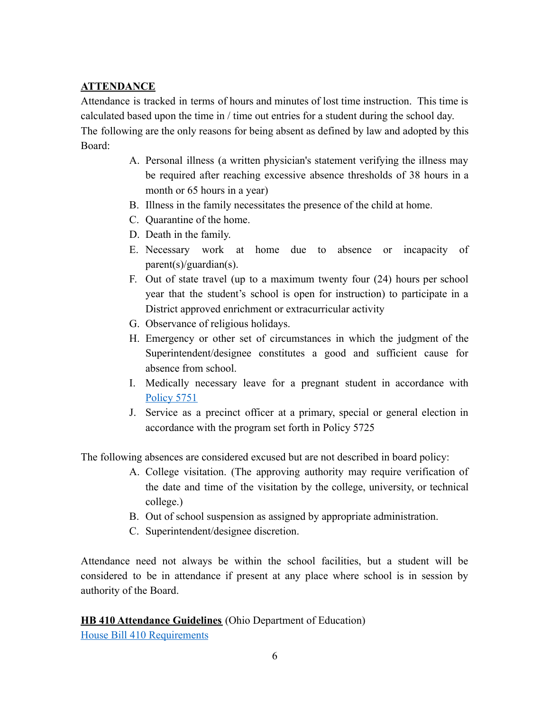# **ATTENDANCE**

Attendance is tracked in terms of hours and minutes of lost time instruction. This time is calculated based upon the time in / time out entries for a student during the school day. The following are the only reasons for being absent as defined by law and adopted by this Board:

- A. Personal illness (a written physician's statement verifying the illness may be required after reaching excessive absence thresholds of 38 hours in a month or 65 hours in a year)
- B. Illness in the family necessitates the presence of the child at home.
- C. Quarantine of the home.
- D. Death in the family.
- E. Necessary work at home due to absence or incapacity of  $parent(s)/quantian(s)$ .
- F. Out of state travel (up to a maximum twenty four (24) hours per school year that the student's school is open for instruction) to participate in a District approved enrichment or extracurricular activity
- G. Observance of religious holidays.
- H. Emergency or other set of circumstances in which the judgment of the Superintendent/designee constitutes a good and sufficient cause for absence from school.
- I. Medically necessary leave for a pregnant student in accordance with [Policy 5751](http://go.boarddocs.com/oh/ofcs/Board.nsf/goto?open&id=ATQJND49FA59)
- J. Service as a precinct officer at a primary, special or general election in accordance with the program set forth in Policy 5725

The following absences are considered excused but are not described in board policy:

- A. College visitation. (The approving authority may require verification of the date and time of the visitation by the college, university, or technical college.)
- B. Out of school suspension as assigned by appropriate administration.
- C. Superintendent/designee discretion.

Attendance need not always be within the school facilities, but a student will be considered to be in attendance if present at any place where school is in session by authority of the Board.

**HB 410 Attendance Guidelines** (Ohio Department of Education) [House Bill 410 Requirements](https://education.ohio.gov/getattachment/Topics/Chronic-Absenteeism/House-Bill-410-FAQ.pdf.aspx?lang=en-US)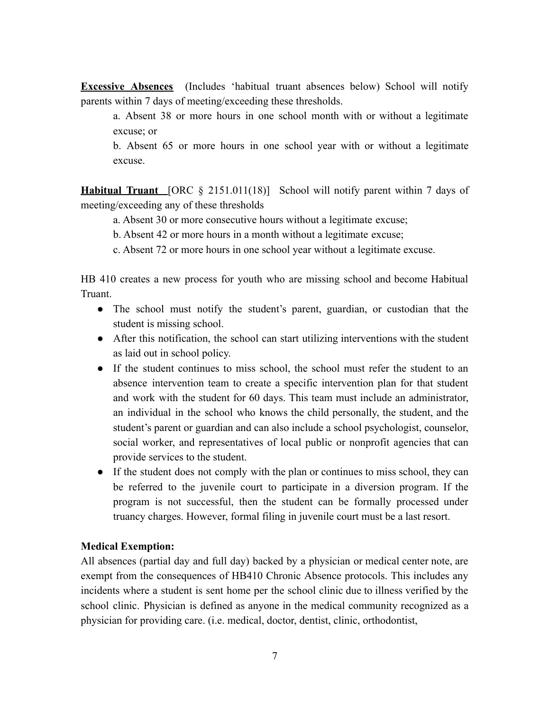**Excessive Absences** (Includes 'habitual truant absences below) School will notify parents within 7 days of meeting/exceeding these thresholds.

a. Absent 38 or more hours in one school month with or without a legitimate excuse; or

b. Absent 65 or more hours in one school year with or without a legitimate excuse.

**Habitual Truant** [ORC § 2151.011(18)] School will notify parent within 7 days of meeting/exceeding any of these thresholds

a. Absent 30 or more consecutive hours without a legitimate excuse;

b. Absent 42 or more hours in a month without a legitimate excuse;

c. Absent 72 or more hours in one school year without a legitimate excuse.

HB 410 creates a new process for youth who are missing school and become Habitual Truant.

- The school must notify the student's parent, guardian, or custodian that the student is missing school.
- After this notification, the school can start utilizing interventions with the student as laid out in school policy.
- If the student continues to miss school, the school must refer the student to an absence intervention team to create a specific intervention plan for that student and work with the student for 60 days. This team must include an administrator, an individual in the school who knows the child personally, the student, and the student's parent or guardian and can also include a school psychologist, counselor, social worker, and representatives of local public or nonprofit agencies that can provide services to the student.
- If the student does not comply with the plan or continues to miss school, they can be referred to the juvenile court to participate in a diversion program. If the program is not successful, then the student can be formally processed under truancy charges. However, formal filing in juvenile court must be a last resort.

#### **Medical Exemption:**

All absences (partial day and full day) backed by a physician or medical center note, are exempt from the consequences of HB410 Chronic Absence protocols. This includes any incidents where a student is sent home per the school clinic due to illness verified by the school clinic. Physician is defined as anyone in the medical community recognized as a physician for providing care. (i.e. medical, doctor, dentist, clinic, orthodontist,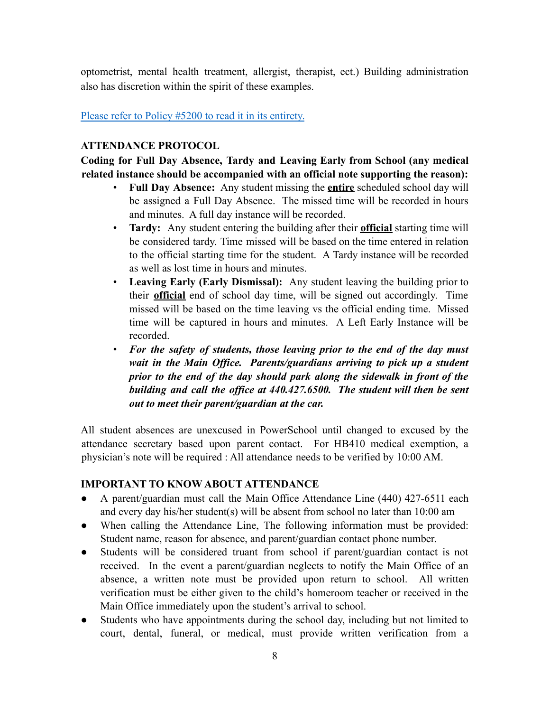optometrist, mental health treatment, allergist, therapist, ect.) Building administration also has discretion within the spirit of these examples.

[Please refer to Policy #5200 to read it in its entirety.](http://go.boarddocs.com/oh/ofcs/Board.nsf/goto?open&id=AVWKBH4F8C41)

## **ATTENDANCE PROTOCOL**

**Coding for Full Day Absence, Tardy and Leaving Early from School (any medical related instance should be accompanied with an official note supporting the reason):**

- **Full Day Absence:** Any student missing the **entire** scheduled school day will be assigned a Full Day Absence. The missed time will be recorded in hours and minutes. A full day instance will be recorded.
- **Tardy:** Any student entering the building after their **official** starting time will be considered tardy. Time missed will be based on the time entered in relation to the official starting time for the student. A Tardy instance will be recorded as well as lost time in hours and minutes.
- **Leaving Early (Early Dismissal):** Any student leaving the building prior to their **official** end of school day time, will be signed out accordingly. Time missed will be based on the time leaving vs the official ending time. Missed time will be captured in hours and minutes. A Left Early Instance will be recorded.
- *For the safety of students, those leaving prior to the end of the day must wait in the Main Office. Parents/guardians arriving to pick up a student prior to the end of the day should park along the sidewalk in front of the building and call the office at 440.427.6500. The student will then be sent out to meet their parent/guardian at the car.*

All student absences are unexcused in PowerSchool until changed to excused by the attendance secretary based upon parent contact. For HB410 medical exemption, a physician's note will be required : All attendance needs to be verified by 10:00 AM.

## **IMPORTANT TO KNOW ABOUT ATTENDANCE**

- A parent/guardian must call the Main Office Attendance Line (440) 427-6511 each and every day his/her student(s) will be absent from school no later than 10:00 am
- When calling the Attendance Line, The following information must be provided: Student name, reason for absence, and parent/guardian contact phone number.
- Students will be considered truant from school if parent/guardian contact is not received. In the event a parent/guardian neglects to notify the Main Office of an absence, a written note must be provided upon return to school. All written verification must be either given to the child's homeroom teacher or received in the Main Office immediately upon the student's arrival to school.
- Students who have appointments during the school day, including but not limited to court, dental, funeral, or medical, must provide written verification from a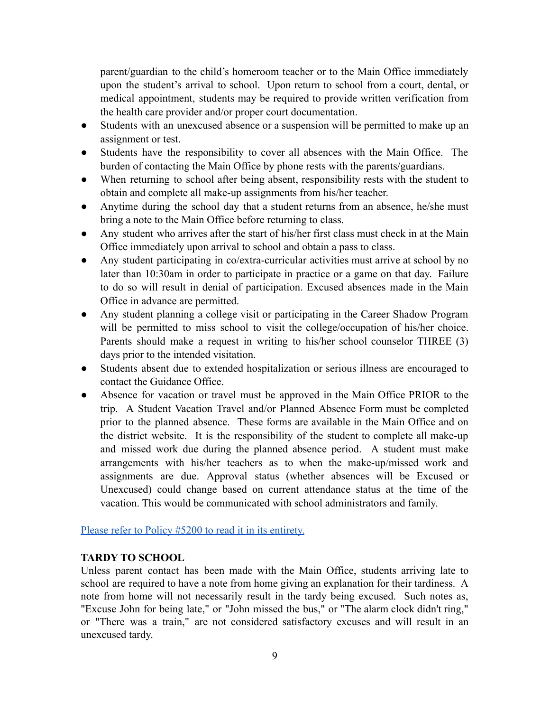parent/guardian to the child's homeroom teacher or to the Main Office immediately upon the student's arrival to school. Upon return to school from a court, dental, or medical appointment, students may be required to provide written verification from the health care provider and/or proper court documentation.

- Students with an unexcused absence or a suspension will be permitted to make up an assignment or test.
- Students have the responsibility to cover all absences with the Main Office. The burden of contacting the Main Office by phone rests with the parents/guardians.
- When returning to school after being absent, responsibility rests with the student to obtain and complete all make-up assignments from his/her teacher.
- Anytime during the school day that a student returns from an absence, he/she must bring a note to the Main Office before returning to class.
- Any student who arrives after the start of his/her first class must check in at the Main Office immediately upon arrival to school and obtain a pass to class.
- Any student participating in co/extra-curricular activities must arrive at school by no later than 10:30am in order to participate in practice or a game on that day. Failure to do so will result in denial of participation. Excused absences made in the Main Office in advance are permitted.
- Any student planning a college visit or participating in the Career Shadow Program will be permitted to miss school to visit the college/occupation of his/her choice. Parents should make a request in writing to his/her school counselor THREE (3) days prior to the intended visitation.
- Students absent due to extended hospitalization or serious illness are encouraged to contact the Guidance Office.
- Absence for vacation or travel must be approved in the Main Office PRIOR to the trip. A Student Vacation Travel and/or Planned Absence Form must be completed prior to the planned absence. These forms are available in the Main Office and on the district website. It is the responsibility of the student to complete all make-up and missed work due during the planned absence period. A student must make arrangements with his/her teachers as to when the make-up/missed work and assignments are due. Approval status (whether absences will be Excused or Unexcused) could change based on current attendance status at the time of the vacation. This would be communicated with school administrators and family.

[Please refer to Policy #5200 to read it in its entirety.](http://go.boarddocs.com/oh/ofcs/Board.nsf/goto?open&id=AVWKBH4F8C41)

## **TARDY TO SCHOOL**

Unless parent contact has been made with the Main Office, students arriving late to school are required to have a note from home giving an explanation for their tardiness. A note from home will not necessarily result in the tardy being excused. Such notes as, "Excuse John for being late," or "John missed the bus," or "The alarm clock didn't ring," or "There was a train," are not considered satisfactory excuses and will result in an unexcused tardy.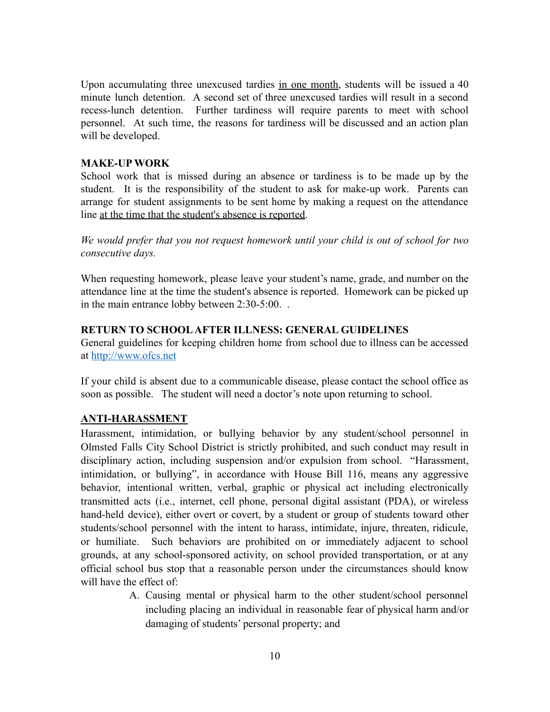Upon accumulating three unexcused tardies in one month, students will be issued a 40 minute lunch detention. A second set of three unexcused tardies will result in a second recess-lunch detention. Further tardiness will require parents to meet with school personnel. At such time, the reasons for tardiness will be discussed and an action plan will be developed.

#### **MAKE-UP WORK**

School work that is missed during an absence or tardiness is to be made up by the student. It is the responsibility of the student to ask for make-up work. Parents can arrange for student assignments to be sent home by making a request on the attendance line at the time that the student's absence is reported.

*We would prefer that you not request homework until your child is out of school for two consecutive days.*

When requesting homework, please leave your student's name, grade, and number on the attendance line at the time the student's absence is reported. Homework can be picked up in the main entrance lobby between 2:30-5:00. .

#### **RETURN TO SCHOOLAFTER ILLNESS: GENERAL GUIDELINES**

General guidelines for keeping children home from school due to illness can be accessed at <http://www.ofcs.net>

If your child is absent due to a communicable disease, please contact the school office as soon as possible. The student will need a doctor's note upon returning to school.

## **ANTI-HARASSMENT**

Harassment, intimidation, or bullying behavior by any student/school personnel in Olmsted Falls City School District is strictly prohibited, and such conduct may result in disciplinary action, including suspension and/or expulsion from school. "Harassment, intimidation, or bullying", in accordance with House Bill 116, means any aggressive behavior, intentional written, verbal, graphic or physical act including electronically transmitted acts (i.e., internet, cell phone, personal digital assistant (PDA), or wireless hand-held device), either overt or covert, by a student or group of students toward other students/school personnel with the intent to harass, intimidate, injure, threaten, ridicule, or humiliate. Such behaviors are prohibited on or immediately adjacent to school grounds, at any school-sponsored activity, on school provided transportation, or at any official school bus stop that a reasonable person under the circumstances should know will have the effect of:

> A. Causing mental or physical harm to the other student/school personnel including placing an individual in reasonable fear of physical harm and/or damaging of students' personal property; and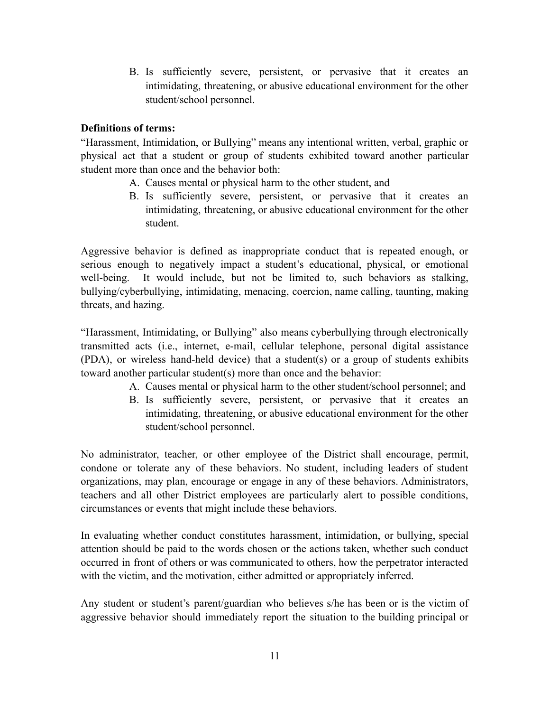B. Is sufficiently severe, persistent, or pervasive that it creates an intimidating, threatening, or abusive educational environment for the other student/school personnel.

#### **Definitions of terms:**

"Harassment, Intimidation, or Bullying" means any intentional written, verbal, graphic or physical act that a student or group of students exhibited toward another particular student more than once and the behavior both:

- A. Causes mental or physical harm to the other student, and
- B. Is sufficiently severe, persistent, or pervasive that it creates an intimidating, threatening, or abusive educational environment for the other student.

Aggressive behavior is defined as inappropriate conduct that is repeated enough, or serious enough to negatively impact a student's educational, physical, or emotional well-being. It would include, but not be limited to, such behaviors as stalking, bullying/cyberbullying, intimidating, menacing, coercion, name calling, taunting, making threats, and hazing.

"Harassment, Intimidating, or Bullying" also means cyberbullying through electronically transmitted acts (i.e., internet, e-mail, cellular telephone, personal digital assistance (PDA), or wireless hand-held device) that a student(s) or a group of students exhibits toward another particular student(s) more than once and the behavior:

- A. Causes mental or physical harm to the other student/school personnel; and
- B. Is sufficiently severe, persistent, or pervasive that it creates an intimidating, threatening, or abusive educational environment for the other student/school personnel.

No administrator, teacher, or other employee of the District shall encourage, permit, condone or tolerate any of these behaviors. No student, including leaders of student organizations, may plan, encourage or engage in any of these behaviors. Administrators, teachers and all other District employees are particularly alert to possible conditions, circumstances or events that might include these behaviors.

In evaluating whether conduct constitutes harassment, intimidation, or bullying, special attention should be paid to the words chosen or the actions taken, whether such conduct occurred in front of others or was communicated to others, how the perpetrator interacted with the victim, and the motivation, either admitted or appropriately inferred.

Any student or student's parent/guardian who believes s/he has been or is the victim of aggressive behavior should immediately report the situation to the building principal or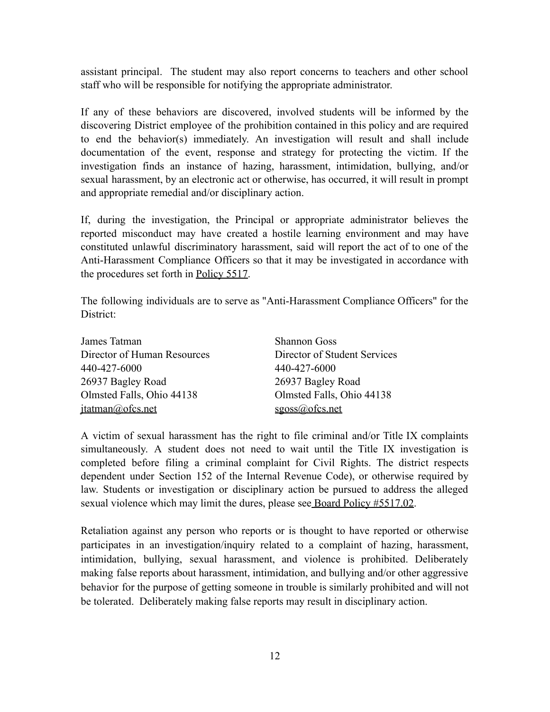assistant principal. The student may also report concerns to teachers and other school staff who will be responsible for notifying the appropriate administrator.

If any of these behaviors are discovered, involved students will be informed by the discovering District employee of the prohibition contained in this policy and are required to end the behavior(s) immediately. An investigation will result and shall include documentation of the event, response and strategy for protecting the victim. If the investigation finds an instance of hazing, harassment, intimidation, bullying, and/or sexual harassment, by an electronic act or otherwise, has occurred, it will result in prompt and appropriate remedial and/or disciplinary action.

If, during the investigation, the Principal or appropriate administrator believes the reported misconduct may have created a hostile learning environment and may have constituted unlawful discriminatory harassment, said will report the act of to one of the Anti-Harassment Compliance Officers so that it may be investigated in accordance with the procedures set forth in [Policy 5517.](http://go.boarddocs.com/oh/ofcs/Board.nsf/goto?open&id=BGVHTT4A1022)

The following individuals are to serve as "Anti-Harassment Compliance Officers" for the District:

| James Tatman                | <b>Shannon Goss</b>          |
|-----------------------------|------------------------------|
| Director of Human Resources | Director of Student Services |
| 440-427-6000                | 440-427-6000                 |
| 26937 Bagley Road           | 26937 Bagley Road            |
| Olmsted Falls, Ohio 44138   | Olmsted Falls, Ohio 44138    |
| itatman@ofcs.net            | sgoss@ofcs.net               |

A victim of sexual harassment has the right to file criminal and/or Title IX complaints simultaneously. A student does not need to wait until the Title IX investigation is completed before filing a criminal complaint for Civil Rights. The district respects dependent under Section 152 of the Internal Revenue Code), or otherwise required by law. Students or investigation or disciplinary action be pursued to address the alleged sexual violence which may limit the dures, please see [Board Policy #5517.02.](http://go.boarddocs.com/oh/ofcs/Board.nsf/goto?open&id=BGVHTU4A1031)

Retaliation against any person who reports or is thought to have reported or otherwise participates in an investigation/inquiry related to a complaint of hazing, harassment, intimidation, bullying, sexual harassment, and violence is prohibited. Deliberately making false reports about harassment, intimidation, and bullying and/or other aggressive behavior for the purpose of getting someone in trouble is similarly prohibited and will not be tolerated. Deliberately making false reports may result in disciplinary action.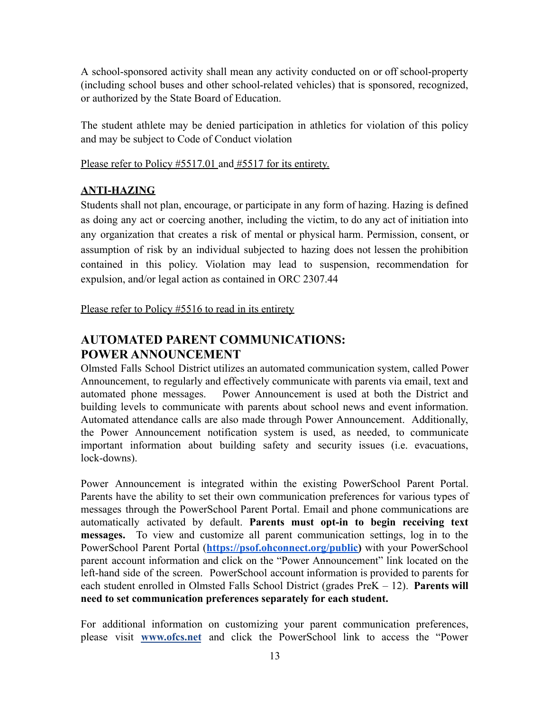A school-sponsored activity shall mean any activity conducted on or off school-property (including school buses and other school-related vehicles) that is sponsored, recognized, or authorized by the State Board of Education.

The student athlete may be denied participation in athletics for violation of this policy and may be subject to Code of Conduct violation

[Please refer to Policy #5517.01](http://go.boarddocs.com/oh/ofcs/Board.nsf/goto?open&id=ATQJMR49F9FB) and [#5517 for its](http://go.boarddocs.com/oh/ofcs/Board.nsf/goto?open&id=BGVHTT4A1022) entirety.

# **ANTI-HAZING**

Students shall not plan, encourage, or participate in any form of hazing. Hazing is defined as doing any act or coercing another, including the victim, to do any act of initiation into any organization that creates a risk of mental or physical harm. Permission, consent, or assumption of risk by an individual subjected to hazing does not lessen the prohibition contained in this policy. Violation may lead to suspension, recommendation for expulsion, and/or legal action as contained in ORC 2307.44

[Please refer to Policy #5516 to read in its entirety](http://go.boarddocs.com/oh/ofcs/Board.nsf/goto?open&id=ATQJMP49F9F1)

# **AUTOMATED PARENT COMMUNICATIONS: POWER ANNOUNCEMENT**

Olmsted Falls School District utilizes an automated communication system, called Power Announcement, to regularly and effectively communicate with parents via email, text and automated phone messages. Power Announcement is used at both the District and building levels to communicate with parents about school news and event information. Automated attendance calls are also made through Power Announcement. Additionally, the Power Announcement notification system is used, as needed, to communicate important information about building safety and security issues (i.e. evacuations, lock-downs).

Power Announcement is integrated within the existing PowerSchool Parent Portal. Parents have the ability to set their own communication preferences for various types of messages through the PowerSchool Parent Portal. Email and phone communications are automatically activated by default. **Parents must opt-in to begin receiving text messages.** To view and customize all parent communication settings, log in to the PowerSchool Parent Portal (**[https://psof.ohconnect.org/public\)](https://psof.ohconnect.org/public)** with your PowerSchool parent account information and click on the "Power Announcement" link located on the left-hand side of the screen. PowerSchool account information is provided to parents for each student enrolled in Olmsted Falls School District (grades PreK – 12). **Parents will need to set communication preferences separately for each student.**

For additional information on customizing your parent communication preferences, please visit **[www.ofcs.net](http://www.ofcs.net)** and click the PowerSchool link to access the "Power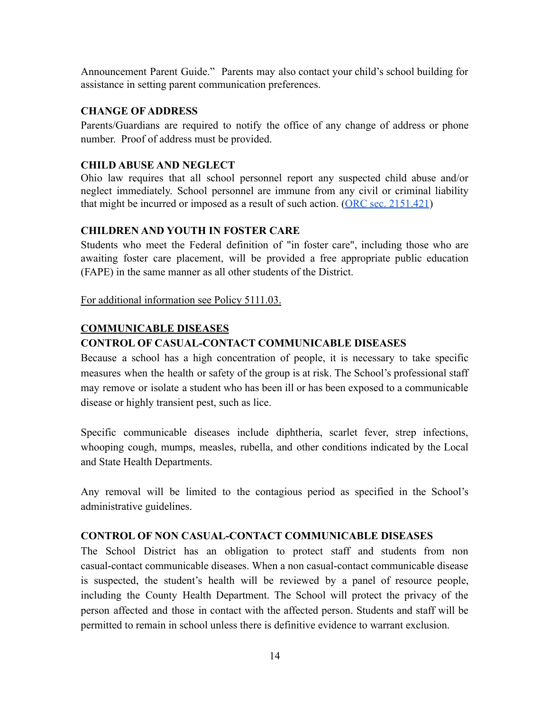Announcement Parent Guide." Parents may also contact your child's school building for assistance in setting parent communication preferences.

## **CHANGE OF ADDRESS**

Parents/Guardians are required to notify the office of any change of address or phone number. Proof of address must be provided.

## **CHILD ABUSE AND NEGLECT**

Ohio law requires that all school personnel report any suspected child abuse and/or neglect immediately. School personnel are immune from any civil or criminal liability that might be incurred or imposed as a result of such action. [\(ORC sec. 2151.421](http://codes.ohio.gov/orc/2151.421))

## **CHILDREN AND YOUTH IN FOSTER CARE**

Students who meet the Federal definition of "in foster care", including those who are awaiting foster care placement, will be provided a free appropriate public education (FAPE) in the same manner as all other students of the District.

[For additional information see Policy 5111.03.](http://go.boarddocs.com/oh/ofcs/Board.nsf/goto?open&id=B3HA8K6F52E3)

# **COMMUNICABLE DISEASES**

# **CONTROL OF CASUAL-CONTACT COMMUNICABLE DISEASES**

Because a school has a high concentration of people, it is necessary to take specific measures when the health or safety of the group is at risk. The School's professional staff may remove or isolate a student who has been ill or has been exposed to a communicable disease or highly transient pest, such as lice.

Specific communicable diseases include diphtheria, scarlet fever, strep infections, whooping cough, mumps, measles, rubella, and other conditions indicated by the Local and State Health Departments.

Any removal will be limited to the contagious period as specified in the School's administrative guidelines.

## **CONTROL OF NON CASUAL-CONTACT COMMUNICABLE DISEASES**

The School District has an obligation to protect staff and students from non casual-contact communicable diseases. When a non casual-contact communicable disease is suspected, the student's health will be reviewed by a panel of resource people, including the County Health Department. The School will protect the privacy of the person affected and those in contact with the affected person. Students and staff will be permitted to remain in school unless there is definitive evidence to warrant exclusion.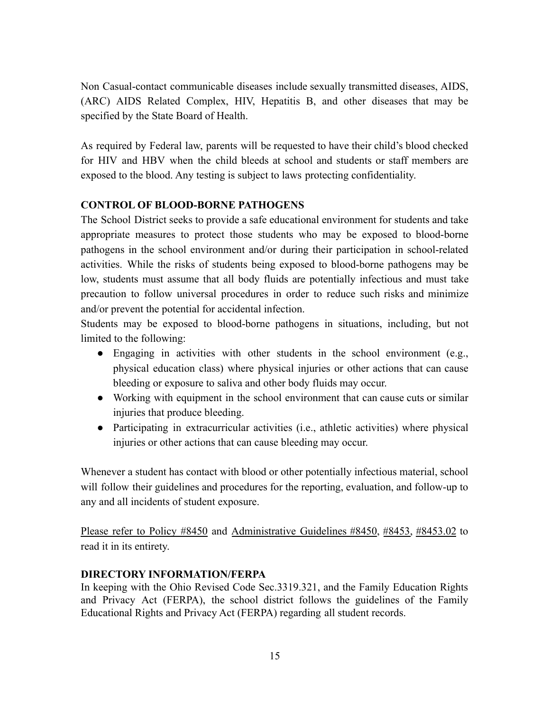Non Casual-contact communicable diseases include sexually transmitted diseases, AIDS, (ARC) AIDS Related Complex, HIV, Hepatitis B, and other diseases that may be specified by the State Board of Health.

As required by Federal law, parents will be requested to have their child's blood checked for HIV and HBV when the child bleeds at school and students or staff members are exposed to the blood. Any testing is subject to laws protecting confidentiality.

## **CONTROL OF BLOOD-BORNE PATHOGENS**

The School District seeks to provide a safe educational environment for students and take appropriate measures to protect those students who may be exposed to blood-borne pathogens in the school environment and/or during their participation in school-related activities. While the risks of students being exposed to blood-borne pathogens may be low, students must assume that all body fluids are potentially infectious and must take precaution to follow universal procedures in order to reduce such risks and minimize and/or prevent the potential for accidental infection.

Students may be exposed to blood-borne pathogens in situations, including, but not limited to the following:

- Engaging in activities with other students in the school environment (e.g., physical education class) where physical injuries or other actions that can cause bleeding or exposure to saliva and other body fluids may occur.
- Working with equipment in the school environment that can cause cuts or similar injuries that produce bleeding.
- Participating in extracurricular activities (i.e., athletic activities) where physical injuries or other actions that can cause bleeding may occur.

Whenever a student has contact with blood or other potentially infectious material, school will follow their guidelines and procedures for the reporting, evaluation, and follow-up to any and all incidents of student exposure.

Please refer to [Policy](http://go.boarddocs.com/oh/ofcs/Board.nsf/goto?open&id=ATQJRH49FC45) #8450 and [Administrative](http://go.boarddocs.com/oh/ofcs/Board.nsf/goto?open&id=ATQK3G4A0BF1) Guidelines #8450, [#8453,](http://go.boarddocs.com/oh/ofcs/Board.nsf/goto?open&id=ATQJRL49FC54) [#8453.02](http://go.boarddocs.com/oh/ofcs/Board.nsf/goto?open&id=ATQJRN49FC5D) to read it in its entirety.

#### **DIRECTORY INFORMATION/FERPA**

In keeping with the Ohio Revised Code Sec.3319.321, and the Family Education Rights and Privacy Act (FERPA), the school district follows the guidelines of the Family Educational Rights and Privacy Act (FERPA) regarding all student records.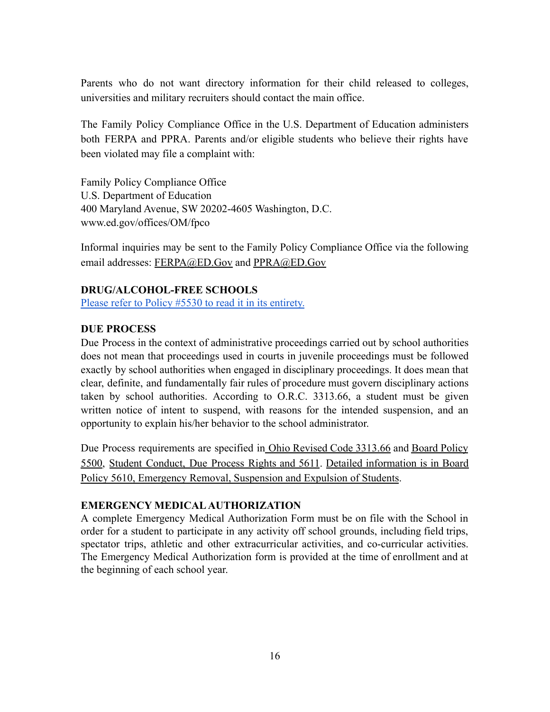Parents who do not want directory information for their child released to colleges, universities and military recruiters should contact the main office.

The Family Policy Compliance Office in the U.S. Department of Education administers both FERPA and PPRA. Parents and/or eligible students who believe their rights have been violated may file a complaint with:

Family Policy Compliance Office U.S. Department of Education 400 Maryland Avenue, SW 20202-4605 Washington, D.C. www.ed.gov/offices/OM/fpco

Informal inquiries may be sent to the Family Policy Compliance Office via the following email addresses: [FERPA@ED.Gov](mailto:FERPA@ED.Gov) and [PPRA@ED.Gov](mailto:PPRA@ED.Gov)

## **DRUG/ALCOHOL-FREE SCHOOLS**

[Please refer to Policy #5530 to read it in its entirety.](http://go.boarddocs.com/oh/ofcs/Board.nsf/goto?open&id=ATQJMU49FA08)

# **DUE PROCESS**

Due Process in the context of administrative proceedings carried out by school authorities does not mean that proceedings used in courts in juvenile proceedings must be followed exactly by school authorities when engaged in disciplinary proceedings. It does mean that clear, definite, and fundamentally fair rules of procedure must govern disciplinary actions taken by school authorities. According to O.R.C. 3313.66, a student must be given written notice of intent to suspend, with reasons for the intended suspension, and an opportunity to explain his/her behavior to the school administrator.

Due Process requirements are specified in Ohio Revised Code [3313.66](http://codes.ohio.gov/orc/3313.66) and Board [Policy](http://go.boarddocs.com/oh/ofcs/Board.nsf/goto?open&id=ATQJMH49F9D5) [5500](http://go.boarddocs.com/oh/ofcs/Board.nsf/goto?open&id=ATQJMH49F9D5), Student [Conduct,](http://go.boarddocs.com/oh/ofcs/Board.nsf/goto?open&id=BGVHTY4A106E) Due Process Rights and 5611. Detailed [information](http://go.boarddocs.com/oh/ofcs/Board.nsf/goto?open&id=BGVHTV4A103F) is in Board [Policy 5610, Emergency Removal, Suspension and Expulsion](http://go.boarddocs.com/oh/ofcs/Board.nsf/goto?open&id=BGVHTV4A103F) of Students.

## **EMERGENCY MEDICALAUTHORIZATION**

A complete Emergency Medical Authorization Form must be on file with the School in order for a student to participate in any activity off school grounds, including field trips, spectator trips, athletic and other extracurricular activities, and co-curricular activities. The Emergency Medical Authorization form is provided at the time of enrollment and at the beginning of each school year.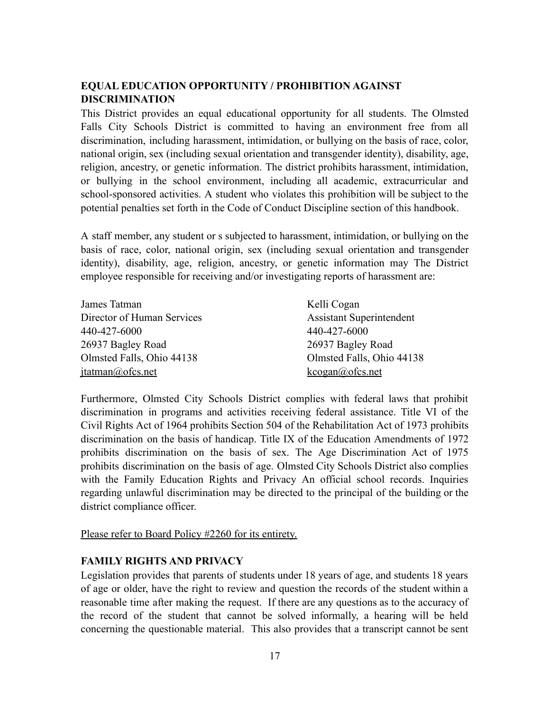## **EQUAL EDUCATION OPPORTUNITY / PROHIBITION AGAINST DISCRIMINATION**

This District provides an equal educational opportunity for all students. The Olmsted Falls City Schools District is committed to having an environment free from all discrimination, including harassment, intimidation, or bullying on the basis of race, color, national origin, sex (including sexual orientation and transgender identity), disability, age, religion, ancestry, or genetic information. The district prohibits harassment, intimidation, or bullying in the school environment, including all academic, extracurricular and school-sponsored activities. A student who violates this prohibition will be subject to the potential penalties set forth in the Code of Conduct Discipline section of this handbook.

A staff member, any student or s subjected to harassment, intimidation, or bullying on the basis of race, color, national origin, sex (including sexual orientation and transgender identity), disability, age, religion, ancestry, or genetic information may The District employee responsible for receiving and/or investigating reports of harassment are:

| James Tatman               | Kelli Cogan                     |
|----------------------------|---------------------------------|
| Director of Human Services | <b>Assistant Superintendent</b> |
| 440-427-6000               | 440-427-6000                    |
| 26937 Bagley Road          | 26937 Bagley Road               |
| Olmsted Falls, Ohio 44138  | Olmsted Falls, Ohio 44138       |
| <i>itatman@ofcs.net</i>    | $kogan(a)$ ofcs.net             |

Furthermore, Olmsted City Schools District complies with federal laws that prohibit discrimination in programs and activities receiving federal assistance. Title VI of the Civil Rights Act of 1964 prohibits Section 504 of the Rehabilitation Act of 1973 prohibits discrimination on the basis of handicap. Title IX of the Education Amendments of 1972 prohibits discrimination on the basis of sex. The Age Discrimination Act of 1975 prohibits discrimination on the basis of age. Olmsted City Schools District also complies with the Family Education Rights and Privacy An official school records. Inquiries regarding unlawful discrimination may be directed to the principal of the building or the district compliance officer.

#### [Please refer to Board Policy #2260 for its entirety.](http://go.boarddocs.com/oh/ofcs/Board.nsf/goto?open&id=BCHUQ87D1269)

#### **FAMILY RIGHTS AND PRIVACY**

Legislation provides that parents of students under 18 years of age, and students 18 years of age or older, have the right to review and question the records of the student within a reasonable time after making the request. If there are any questions as to the accuracy of the record of the student that cannot be solved informally, a hearing will be held concerning the questionable material. This also provides that a transcript cannot be sent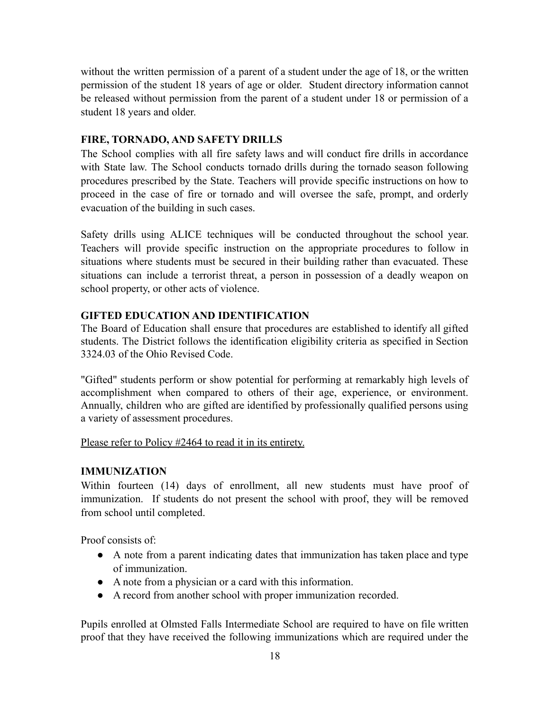without the written permission of a parent of a student under the age of 18, or the written permission of the student 18 years of age or older. Student directory information cannot be released without permission from the parent of a student under 18 or permission of a student 18 years and older.

## **FIRE, TORNADO, AND SAFETY DRILLS**

The School complies with all fire safety laws and will conduct fire drills in accordance with State law. The School conducts tornado drills during the tornado season following procedures prescribed by the State. Teachers will provide specific instructions on how to proceed in the case of fire or tornado and will oversee the safe, prompt, and orderly evacuation of the building in such cases.

Safety drills using ALICE techniques will be conducted throughout the school year. Teachers will provide specific instruction on the appropriate procedures to follow in situations where students must be secured in their building rather than evacuated. These situations can include a terrorist threat, a person in possession of a deadly weapon on school property, or other acts of violence.

# **GIFTED EDUCATION AND IDENTIFICATION**

The Board of Education shall ensure that procedures are established to identify all gifted students. The District follows the identification eligibility criteria as specified in Section 3324.03 of the Ohio Revised Code.

"Gifted" students perform or show potential for performing at remarkably high levels of accomplishment when compared to others of their age, experience, or environment. Annually, children who are gifted are identified by professionally qualified persons using a variety of assessment procedures.

## [Please refer to Policy #2464 to read it in its entirety.](http://go.boarddocs.com/oh/ofcs/Board.nsf/goto?open&id=AVWKB54F8C09)

# **IMMUNIZATION**

Within fourteen (14) days of enrollment, all new students must have proof of immunization. If students do not present the school with proof, they will be removed from school until completed.

Proof consists of:

- A note from a parent indicating dates that immunization has taken place and type of immunization.
- A note from a physician or a card with this information.
- A record from another school with proper immunization recorded.

Pupils enrolled at Olmsted Falls Intermediate School are required to have on file written proof that they have received the following immunizations which are required under the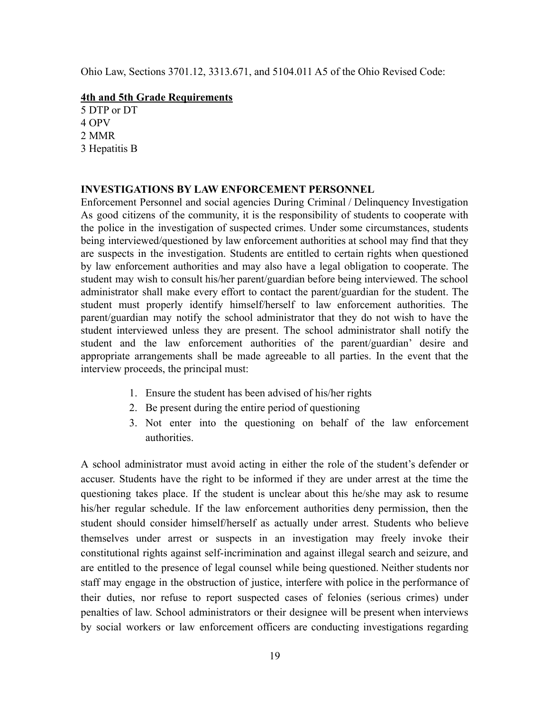Ohio Law, Sections 3701.12, 3313.671, and 5104.011 A5 of the Ohio Revised Code:

#### **4th and 5th Grade Requirements**

5 DTP or DT 4 OPV 2 MMR 3 Hepatitis B

#### **INVESTIGATIONS BY LAW ENFORCEMENT PERSONNEL**

Enforcement Personnel and social agencies During Criminal / Delinquency Investigation As good citizens of the community, it is the responsibility of students to cooperate with the police in the investigation of suspected crimes. Under some circumstances, students being interviewed/questioned by law enforcement authorities at school may find that they are suspects in the investigation. Students are entitled to certain rights when questioned by law enforcement authorities and may also have a legal obligation to cooperate. The student may wish to consult his/her parent/guardian before being interviewed. The school administrator shall make every effort to contact the parent/guardian for the student. The student must properly identify himself/herself to law enforcement authorities. The parent/guardian may notify the school administrator that they do not wish to have the student interviewed unless they are present. The school administrator shall notify the student and the law enforcement authorities of the parent/guardian' desire and appropriate arrangements shall be made agreeable to all parties. In the event that the interview proceeds, the principal must:

- 1. Ensure the student has been advised of his/her rights
- 2. Be present during the entire period of questioning
- 3. Not enter into the questioning on behalf of the law enforcement authorities.

A school administrator must avoid acting in either the role of the student's defender or accuser. Students have the right to be informed if they are under arrest at the time the questioning takes place. If the student is unclear about this he/she may ask to resume his/her regular schedule. If the law enforcement authorities deny permission, then the student should consider himself/herself as actually under arrest. Students who believe themselves under arrest or suspects in an investigation may freely invoke their constitutional rights against self-incrimination and against illegal search and seizure, and are entitled to the presence of legal counsel while being questioned. Neither students nor staff may engage in the obstruction of justice, interfere with police in the performance of their duties, nor refuse to report suspected cases of felonies (serious crimes) under penalties of law. School administrators or their designee will be present when interviews by social workers or law enforcement officers are conducting investigations regarding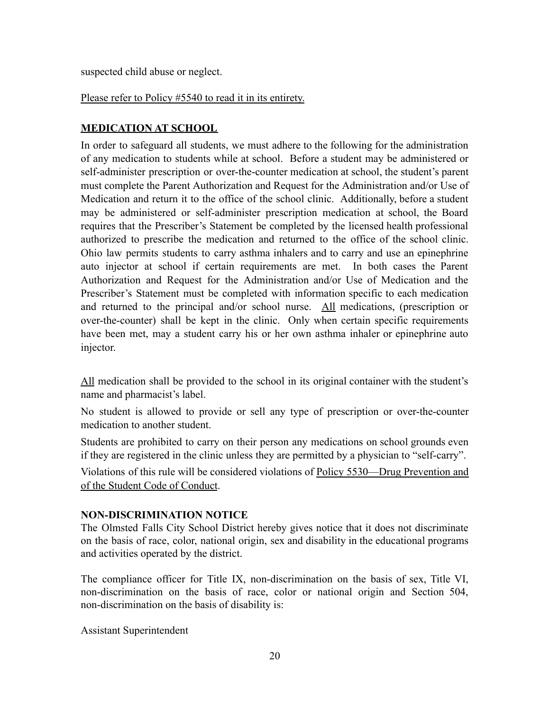suspected child abuse or neglect.

[Please refer to Policy #5540 to read it in its entirety.](http://go.boarddocs.com/oh/ofcs/Board.nsf/goto?open&id=ATQJMW49FA12)

# **MEDICATION AT SCHOOL**

In order to safeguard all students, we must adhere to the following for the administration of any medication to students while at school. Before a student may be administered or self-administer prescription or over-the-counter medication at school, the student's parent must complete the Parent Authorization and Request for the Administration and/or Use of Medication and return it to the office of the school clinic. Additionally, before a student may be administered or self-administer prescription medication at school, the Board requires that the Prescriber's Statement be completed by the licensed health professional authorized to prescribe the medication and returned to the office of the school clinic. Ohio law permits students to carry asthma inhalers and to carry and use an epinephrine auto injector at school if certain requirements are met. In both cases the Parent Authorization and Request for the Administration and/or Use of Medication and the Prescriber's Statement must be completed with information specific to each medication and returned to the principal and/or school nurse. All medications, (prescription or over-the-counter) shall be kept in the clinic. Only when certain specific requirements have been met, may a student carry his or her own asthma inhaler or epinephrine auto injector.

All medication shall be provided to the school in its original container with the student's name and pharmacist's label.

No student is allowed to provide or sell any type of prescription or over-the-counter medication to another student.

Students are prohibited to carry on their person any medications on school grounds even if they are registered in the clinic unless they are permitted by a physician to "self-carry".

Violations of this rule will be considered violations of Policy [5530—Drug](http://go.boarddocs.com/oh/ofcs/Board.nsf/goto?open&id=ATQJMU49FA08) Prevention and [of the Student Code of Conduct](http://go.boarddocs.com/oh/ofcs/Board.nsf/goto?open&id=ATQJMU49FA08).

## **NON-DISCRIMINATION NOTICE**

The Olmsted Falls City School District hereby gives notice that it does not discriminate on the basis of race, color, national origin, sex and disability in the educational programs and activities operated by the district.

The compliance officer for Title IX, non-discrimination on the basis of sex, Title VI, non-discrimination on the basis of race, color or national origin and Section 504, non-discrimination on the basis of disability is:

Assistant Superintendent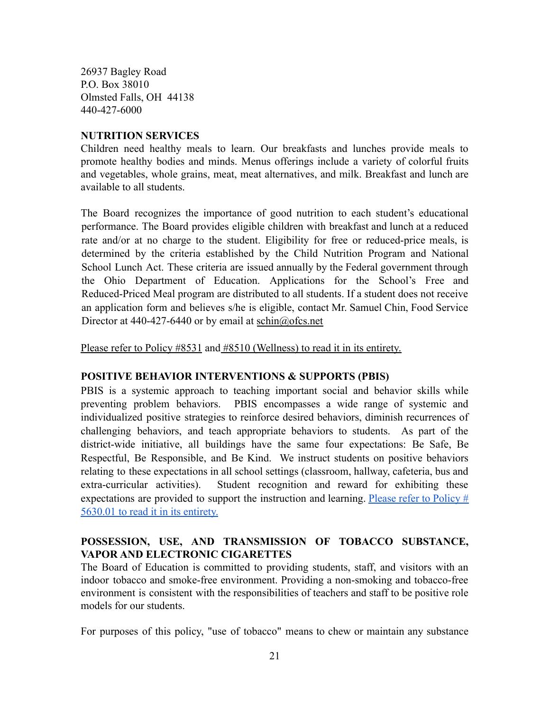26937 Bagley Road P.O. Box 38010 Olmsted Falls, OH 44138 440-427-6000

#### **NUTRITION SERVICES**

Children need healthy meals to learn. Our breakfasts and lunches provide meals to promote healthy bodies and minds. Menus offerings include a variety of colorful fruits and vegetables, whole grains, meat, meat alternatives, and milk. Breakfast and lunch are available to all students.

The Board recognizes the importance of good nutrition to each student's educational performance. The Board provides eligible children with breakfast and lunch at a reduced rate and/or at no charge to the student. Eligibility for free or reduced-price meals, is determined by the criteria established by the Child Nutrition Program and National School Lunch Act. These criteria are issued annually by the Federal government through the Ohio Department of Education. Applications for the School's Free and Reduced-Priced Meal program are distributed to all students. If a student does not receive an application form and believes s/he is eligible, contact Mr. Samuel Chin, Food Service Director at 440-427-6440 or by email at  $\frac{\text{schin}(Q)}{\text{ofcs.net}}$ 

[Please refer to Policy #8531](http://go.boarddocs.com/oh/ofcs/Board.nsf/goto?open&id=ATQJRT49FC74) and #8510 (Wellness) [to read it in its entirety.](http://go.boarddocs.com/oh/ofcs/Board.nsf/goto?open&id=AVSK334F154C)

#### **POSITIVE BEHAVIOR INTERVENTIONS & SUPPORTS (PBIS)**

PBIS is a systemic approach to teaching important social and behavior skills while preventing problem behaviors. PBIS encompasses a wide range of systemic and individualized positive strategies to reinforce desired behaviors, diminish recurrences of challenging behaviors, and teach appropriate behaviors to students. As part of the district-wide initiative, all buildings have the same four expectations: Be Safe, Be Respectful, Be Responsible, and Be Kind. We instruct students on positive behaviors relating to these expectations in all school settings (classroom, hallway, cafeteria, bus and extra-curricular activities). Student recognition and reward for exhibiting these expectations are provided to support the instruction and learning. Please refer to [Policy](http://go.boarddocs.com/oh/ofcs/Board.nsf/goto?open&id=AVWKBK4F8C4A)  $#$ [5630.01 to read it in its entirety.](http://go.boarddocs.com/oh/ofcs/Board.nsf/goto?open&id=AVWKBK4F8C4A)

# **POSSESSION, USE, AND TRANSMISSION OF TOBACCO SUBSTANCE, VAPOR AND ELECTRONIC CIGARETTES**

The Board of Education is committed to providing students, staff, and visitors with an indoor tobacco and smoke-free environment. Providing a non-smoking and tobacco-free environment is consistent with the responsibilities of teachers and staff to be positive role models for our students.

For purposes of this policy, "use of tobacco" means to chew or maintain any substance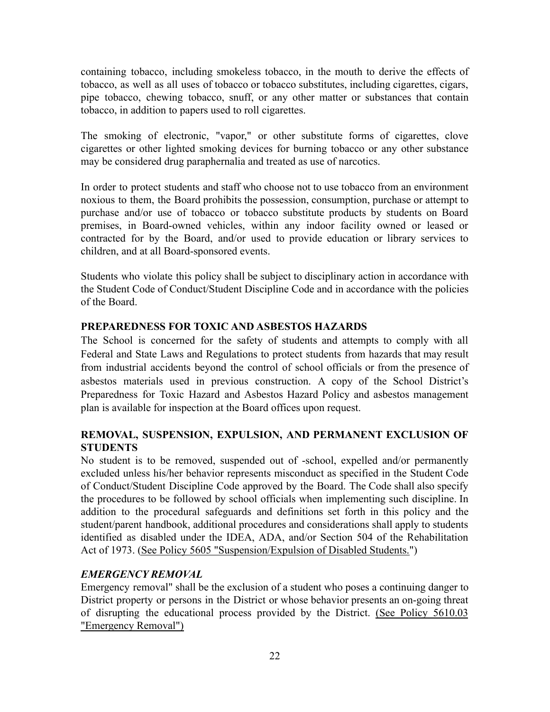containing tobacco, including smokeless tobacco, in the mouth to derive the effects of tobacco, as well as all uses of tobacco or tobacco substitutes, including cigarettes, cigars, pipe tobacco, chewing tobacco, snuff, or any other matter or substances that contain tobacco, in addition to papers used to roll cigarettes.

The smoking of electronic, "vapor," or other substitute forms of cigarettes, clove cigarettes or other lighted smoking devices for burning tobacco or any other substance may be considered drug paraphernalia and treated as use of narcotics.

In order to protect students and staff who choose not to use tobacco from an environment noxious to them, the Board prohibits the possession, consumption, purchase or attempt to purchase and/or use of tobacco or tobacco substitute products by students on Board premises, in Board-owned vehicles, within any indoor facility owned or leased or contracted for by the Board, and/or used to provide education or library services to children, and at all Board-sponsored events.

Students who violate this policy shall be subject to disciplinary action in accordance with the Student Code of Conduct/Student Discipline Code and in accordance with the policies of the Board.

# **PREPAREDNESS FOR TOXIC AND ASBESTOS HAZARDS**

The School is concerned for the safety of students and attempts to comply with all Federal and State Laws and Regulations to protect students from hazards that may result from industrial accidents beyond the control of school officials or from the presence of asbestos materials used in previous construction. A copy of the School District's Preparedness for Toxic Hazard and Asbestos Hazard Policy and asbestos management plan is available for inspection at the Board offices upon request.

# **REMOVAL, SUSPENSION, EXPULSION, AND PERMANENT EXCLUSION OF STUDENTS**

No student is to be removed, suspended out of -school, expelled and/or permanently excluded unless his/her behavior represents misconduct as specified in the Student Code of Conduct/Student Discipline Code approved by the Board. The Code shall also specify the procedures to be followed by school officials when implementing such discipline. In addition to the procedural safeguards and definitions set forth in this policy and the student/parent handbook, additional procedures and considerations shall apply to students identified as disabled under the IDEA, ADA, and/or Section 504 of the Rehabilitation Act of 1973. [\(See Policy 5605 "Suspension/Expulsion](http://go.boarddocs.com/oh/ofcs/Board.nsf/goto?open&id=ATQJMY49FA1A) of Disabled Students.")

## *EMERGENCY REMOVAL*

Emergency removal" shall be the exclusion of a student who poses a continuing danger to District property or persons in the District or whose behavior presents an on-going threat of disrupting the educational process provided by the District. (See Policy [5610.03](http://go.boarddocs.com/oh/ofcs/Board.nsf/goto?open&id=BGVHTX4A105D) ["Emergency Removal"\)](http://go.boarddocs.com/oh/ofcs/Board.nsf/goto?open&id=BGVHTX4A105D)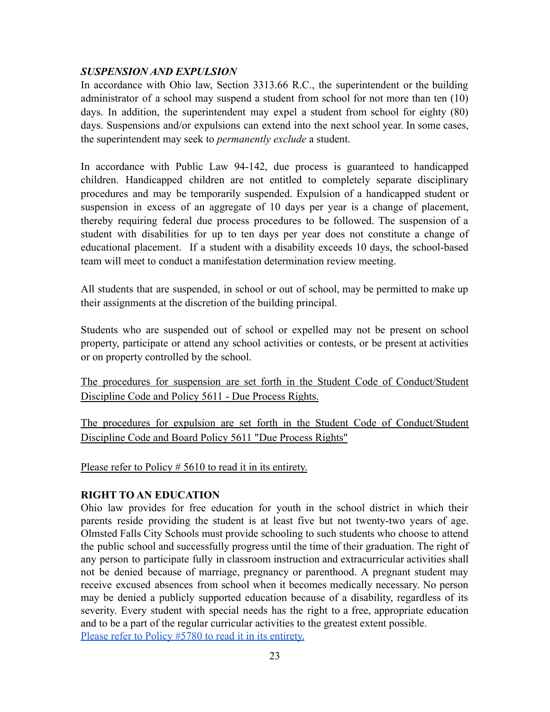#### *SUSPENSION AND EXPULSION*

In accordance with Ohio law, Section 3313.66 R.C., the superintendent or the building administrator of a school may suspend a student from school for not more than ten (10) days. In addition, the superintendent may expel a student from school for eighty (80) days. Suspensions and/or expulsions can extend into the next school year. In some cases, the superintendent may seek to *permanently exclude* a student.

In accordance with Public Law 94-142, due process is guaranteed to handicapped children. Handicapped children are not entitled to completely separate disciplinary procedures and may be temporarily suspended. Expulsion of a handicapped student or suspension in excess of an aggregate of 10 days per year is a change of placement, thereby requiring federal due process procedures to be followed. The suspension of a student with disabilities for up to ten days per year does not constitute a change of educational placement. If a student with a disability exceeds 10 days, the school-based team will meet to conduct a manifestation determination review meeting.

All students that are suspended, in school or out of school, may be permitted to make up their assignments at the discretion of the building principal.

Students who are suspended out of school or expelled may not be present on school property, participate or attend any school activities or contests, or be present at activities or on property controlled by the school.

The procedures for suspension are set forth in the Student Code of [Conduct/Student](http://go.boarddocs.com/oh/ofcs/Board.nsf/goto?open&id=BGVHTY4A106E) [Discipline Code and Policy 5611 - Due Process Rights.](http://go.boarddocs.com/oh/ofcs/Board.nsf/goto?open&id=BGVHTY4A106E)

The procedures for expulsion are set forth in the Student Code of [Conduct/Student](http://go.boarddocs.com/oh/ofcs/Board.nsf/goto?open&id=BGVHTY4A106E) [Discipline Code and Board Policy 5611 "Due Process](http://go.boarddocs.com/oh/ofcs/Board.nsf/goto?open&id=BGVHTY4A106E) Rights"

[Please refer to Policy # 5610 to read it in its entirety.](http://go.boarddocs.com/oh/ofcs/Board.nsf/goto?open&id=BGVHTV4A103F)

## **RIGHT TO AN EDUCATION**

Ohio law provides for free education for youth in the school district in which their parents reside providing the student is at least five but not twenty-two years of age. Olmsted Falls City Schools must provide schooling to such students who choose to attend the public school and successfully progress until the time of their graduation. The right of any person to participate fully in classroom instruction and extracurricular activities shall not be denied because of marriage, pregnancy or parenthood. A pregnant student may receive excused absences from school when it becomes medically necessary. No person may be denied a publicly supported education because of a disability, regardless of its severity. Every student with special needs has the right to a free, appropriate education and to be a part of the regular curricular activities to the greatest extent possible. [Please refer to Policy #5780 to read it in its entirety.](http://go.boarddocs.com/oh/ofcs/Board.nsf/goto?open&id=ATQJNG49FA66)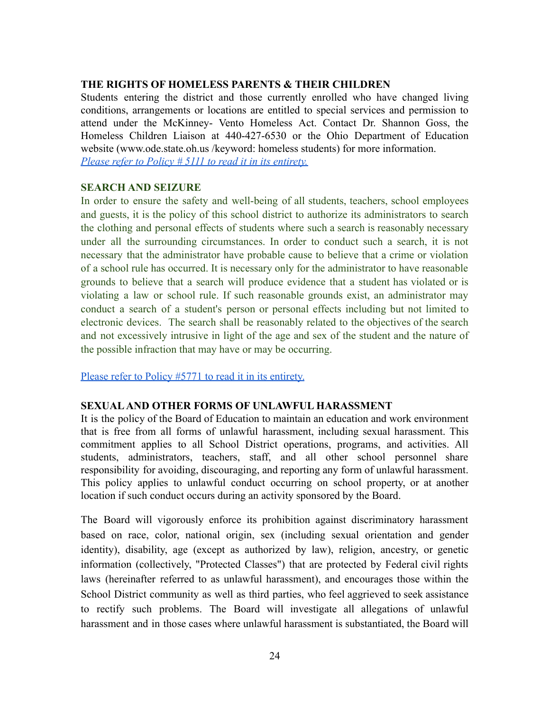#### **THE RIGHTS OF HOMELESS PARENTS & THEIR CHILDREN**

Students entering the district and those currently enrolled who have changed living conditions, arrangements or locations are entitled to special services and permission to attend under the McKinney- Vento Homeless Act. Contact Dr. Shannon Goss, the Homeless Children Liaison at 440-427-6530 or the Ohio Department of Education website (www.ode.state.oh.us /keyword: homeless students) for more information. *[Please refer to Policy # 5111 to read it in its entirety.](http://go.boarddocs.com/oh/ofcs/Board.nsf/goto?open&id=ATQJLF49F92B)*

#### **SEARCH AND SEIZURE**

In order to ensure the safety and well-being of all students, teachers, school employees and guests, it is the policy of this school district to authorize its administrators to search the clothing and personal effects of students where such a search is reasonably necessary under all the surrounding circumstances. In order to conduct such a search, it is not necessary that the administrator have probable cause to believe that a crime or violation of a school rule has occurred. It is necessary only for the administrator to have reasonable grounds to believe that a search will produce evidence that a student has violated or is violating a law or school rule. If such reasonable grounds exist, an administrator may conduct a search of a student's person or personal effects including but not limited to electronic devices. The search shall be reasonably related to the objectives of the search and not excessively intrusive in light of the age and sex of the student and the nature of the possible infraction that may have or may be occurring.

[Please refer to Policy #5771 to read it in its entirety.](http://go.boarddocs.com/oh/ofcs/Board.nsf/goto?open&id=ATQJNE49FA5E)

#### **SEXUALAND OTHER FORMS OF UNLAWFUL HARASSMENT**

It is the policy of the Board of Education to maintain an education and work environment that is free from all forms of unlawful harassment, including sexual harassment. This commitment applies to all School District operations, programs, and activities. All students, administrators, teachers, staff, and all other school personnel share responsibility for avoiding, discouraging, and reporting any form of unlawful harassment. This policy applies to unlawful conduct occurring on school property, or at another location if such conduct occurs during an activity sponsored by the Board.

The Board will vigorously enforce its prohibition against discriminatory harassment based on race, color, national origin, sex (including sexual orientation and gender identity), disability, age (except as authorized by law), religion, ancestry, or genetic information (collectively, "Protected Classes") that are protected by Federal civil rights laws (hereinafter referred to as unlawful harassment), and encourages those within the School District community as well as third parties, who feel aggrieved to seek assistance to rectify such problems. The Board will investigate all allegations of unlawful harassment and in those cases where unlawful harassment is substantiated, the Board will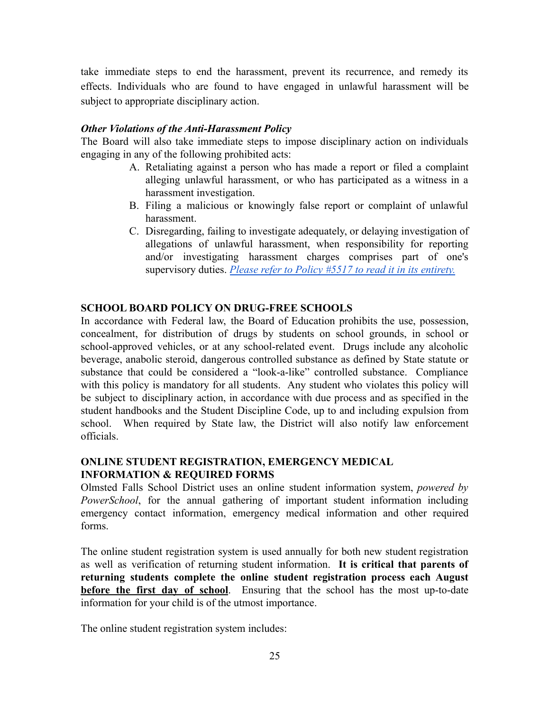take immediate steps to end the harassment, prevent its recurrence, and remedy its effects. Individuals who are found to have engaged in unlawful harassment will be subject to appropriate disciplinary action.

#### *Other Violations of the Anti-Harassment Policy*

The Board will also take immediate steps to impose disciplinary action on individuals engaging in any of the following prohibited acts:

- A. Retaliating against a person who has made a report or filed a complaint alleging unlawful harassment, or who has participated as a witness in a harassment investigation.
- B. Filing a malicious or knowingly false report or complaint of unlawful harassment.
- C. Disregarding, failing to investigate adequately, or delaying investigation of allegations of unlawful harassment, when responsibility for reporting and/or investigating harassment charges comprises part of one's supervisory duties. *[Please refer to Policy #5517 to](http://go.boarddocs.com/oh/ofcs/Board.nsf/goto?open&id=ATQJMR49F9FB) read it in its entirety.*

#### **SCHOOL BOARD POLICY ON DRUG-FREE SCHOOLS**

In accordance with Federal law, the Board of Education prohibits the use, possession, concealment, for distribution of drugs by students on school grounds, in school or school-approved vehicles, or at any school-related event. Drugs include any alcoholic beverage, anabolic steroid, dangerous controlled substance as defined by State statute or substance that could be considered a "look-a-like" controlled substance. Compliance with this policy is mandatory for all students. Any student who violates this policy will be subject to disciplinary action, in accordance with due process and as specified in the student handbooks and the Student Discipline Code, up to and including expulsion from school. When required by State law, the District will also notify law enforcement officials.

## **ONLINE STUDENT REGISTRATION, EMERGENCY MEDICAL INFORMATION & REQUIRED FORMS**

Olmsted Falls School District uses an online student information system, *powered by PowerSchool*, for the annual gathering of important student information including emergency contact information, emergency medical information and other required forms.

The online student registration system is used annually for both new student registration as well as verification of returning student information. **It is critical that parents of returning students complete the online student registration process each August before the first day of school**. Ensuring that the school has the most up-to-date information for your child is of the utmost importance.

The online student registration system includes: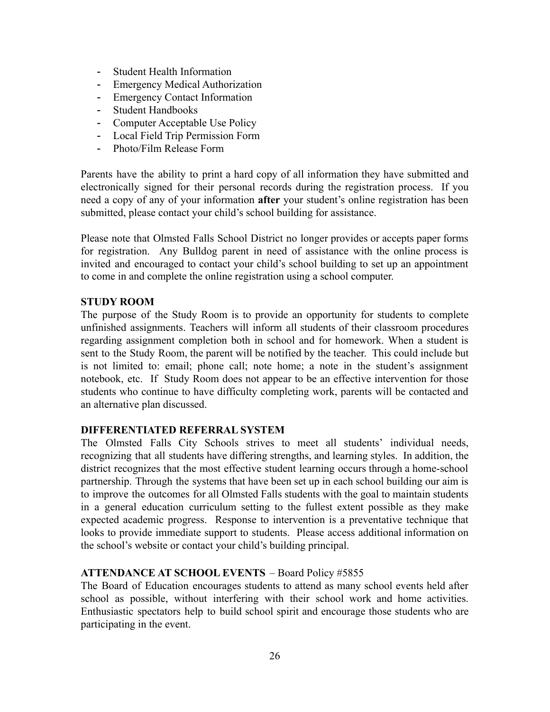- Student Health Information
- Emergency Medical Authorization
- Emergency Contact Information
- Student Handbooks
- Computer Acceptable Use Policy
- Local Field Trip Permission Form
- Photo/Film Release Form

Parents have the ability to print a hard copy of all information they have submitted and electronically signed for their personal records during the registration process. If you need a copy of any of your information **after** your student's online registration has been submitted, please contact your child's school building for assistance.

Please note that Olmsted Falls School District no longer provides or accepts paper forms for registration. Any Bulldog parent in need of assistance with the online process is invited and encouraged to contact your child's school building to set up an appointment to come in and complete the online registration using a school computer.

#### **STUDY ROOM**

The purpose of the Study Room is to provide an opportunity for students to complete unfinished assignments. Teachers will inform all students of their classroom procedures regarding assignment completion both in school and for homework. When a student is sent to the Study Room, the parent will be notified by the teacher. This could include but is not limited to: email; phone call; note home; a note in the student's assignment notebook, etc. If Study Room does not appear to be an effective intervention for those students who continue to have difficulty completing work, parents will be contacted and an alternative plan discussed.

#### **DIFFERENTIATED REFERRAL SYSTEM**

The Olmsted Falls City Schools strives to meet all students' individual needs, recognizing that all students have differing strengths, and learning styles. In addition, the district recognizes that the most effective student learning occurs through a home-school partnership. Through the systems that have been set up in each school building our aim is to improve the outcomes for all Olmsted Falls students with the goal to maintain students in a general education curriculum setting to the fullest extent possible as they make expected academic progress. Response to intervention is a preventative technique that looks to provide immediate support to students. Please access additional information on the school's website or contact your child's building principal.

#### **ATTENDANCE AT SCHOOL EVENTS** – Board Policy #5855

The Board of Education encourages students to attend as many school events held after school as possible, without interfering with their school work and home activities. Enthusiastic spectators help to build school spirit and encourage those students who are participating in the event.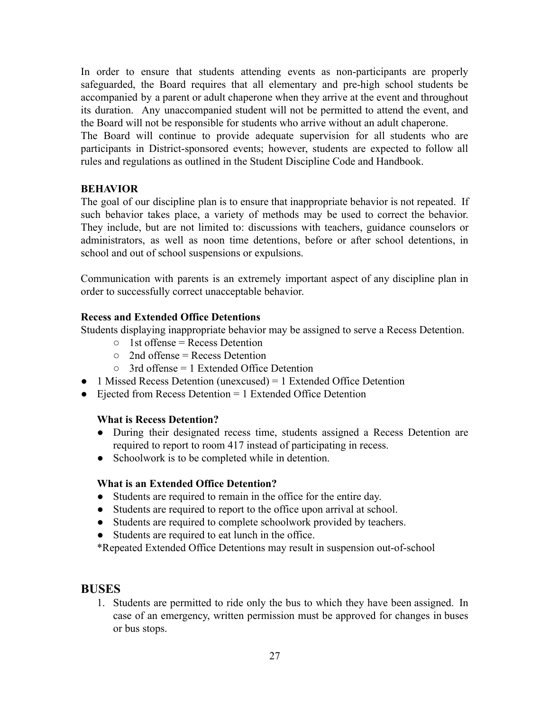In order to ensure that students attending events as non-participants are properly safeguarded, the Board requires that all elementary and pre-high school students be accompanied by a parent or adult chaperone when they arrive at the event and throughout its duration. Any unaccompanied student will not be permitted to attend the event, and the Board will not be responsible for students who arrive without an adult chaperone. The Board will continue to provide adequate supervision for all students who are participants in District-sponsored events; however, students are expected to follow all rules and regulations as outlined in the Student Discipline Code and Handbook.

#### **BEHAVIOR**

The goal of our discipline plan is to ensure that inappropriate behavior is not repeated. If such behavior takes place, a variety of methods may be used to correct the behavior. They include, but are not limited to: discussions with teachers, guidance counselors or administrators, as well as noon time detentions, before or after school detentions, in school and out of school suspensions or expulsions.

Communication with parents is an extremely important aspect of any discipline plan in order to successfully correct unacceptable behavior.

#### **Recess and Extended Office Detentions**

Students displaying inappropriate behavior may be assigned to serve a Recess Detention.

- $\circ$  1st offense = Recess Detention
- $\circ$  2nd offense = Recess Detention
- $\circ$  3rd offense = 1 Extended Office Detention
- 1 Missed Recess Detention (unexcused) = 1 Extended Office Detention
- Ejected from Recess Detention = 1 Extended Office Detention

## **What is Recess Detention?**

- During their designated recess time, students assigned a Recess Detention are required to report to room 417 instead of participating in recess.
- Schoolwork is to be completed while in detention.

## **What is an Extended Office Detention?**

- Students are required to remain in the office for the entire day.
- Students are required to report to the office upon arrival at school.
- Students are required to complete schoolwork provided by teachers.
- Students are required to eat lunch in the office.

\*Repeated Extended Office Detentions may result in suspension out-of-school

# **BUSES**

1. Students are permitted to ride only the bus to which they have been assigned. In case of an emergency, written permission must be approved for changes in buses or bus stops.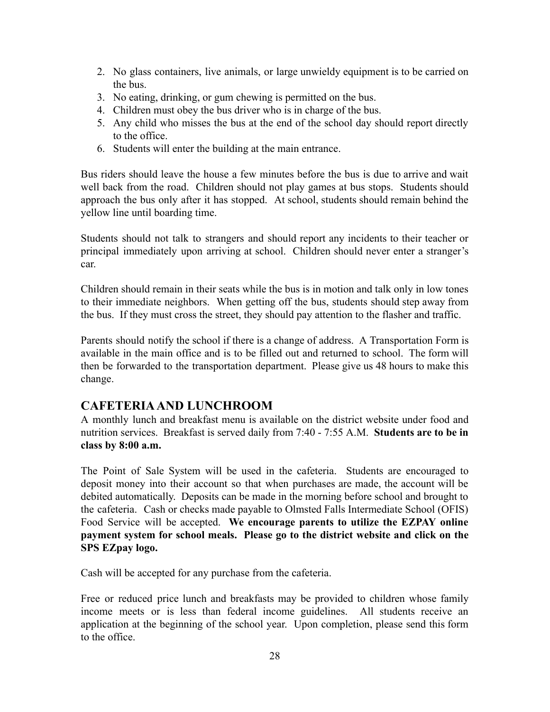- 2. No glass containers, live animals, or large unwieldy equipment is to be carried on the bus.
- 3. No eating, drinking, or gum chewing is permitted on the bus.
- 4. Children must obey the bus driver who is in charge of the bus.
- 5. Any child who misses the bus at the end of the school day should report directly to the office.
- 6. Students will enter the building at the main entrance.

Bus riders should leave the house a few minutes before the bus is due to arrive and wait well back from the road. Children should not play games at bus stops. Students should approach the bus only after it has stopped. At school, students should remain behind the yellow line until boarding time.

Students should not talk to strangers and should report any incidents to their teacher or principal immediately upon arriving at school. Children should never enter a stranger's car.

Children should remain in their seats while the bus is in motion and talk only in low tones to their immediate neighbors. When getting off the bus, students should step away from the bus. If they must cross the street, they should pay attention to the flasher and traffic.

Parents should notify the school if there is a change of address. A Transportation Form is available in the main office and is to be filled out and returned to school. The form will then be forwarded to the transportation department. Please give us 48 hours to make this change.

# **CAFETERIAAND LUNCHROOM**

A monthly lunch and breakfast menu is available on the district website under food and nutrition services. Breakfast is served daily from 7:40 - 7:55 A.M. **Students are to be in class by 8:00 a.m.**

The Point of Sale System will be used in the cafeteria. Students are encouraged to deposit money into their account so that when purchases are made, the account will be debited automatically. Deposits can be made in the morning before school and brought to the cafeteria. Cash or checks made payable to Olmsted Falls Intermediate School (OFIS) Food Service will be accepted. **We encourage parents to utilize the EZPAY online payment system for school meals. Please go to the district website and click on the SPS EZpay logo.**

Cash will be accepted for any purchase from the cafeteria.

Free or reduced price lunch and breakfasts may be provided to children whose family income meets or is less than federal income guidelines. All students receive an application at the beginning of the school year. Upon completion, please send this form to the office.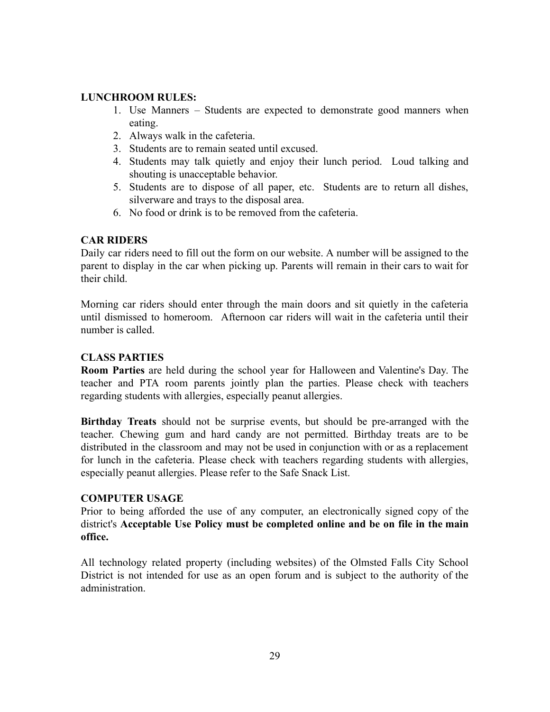#### **LUNCHROOM RULES:**

- 1. Use Manners Students are expected to demonstrate good manners when eating.
- 2. Always walk in the cafeteria.
- 3. Students are to remain seated until excused.
- 4. Students may talk quietly and enjoy their lunch period. Loud talking and shouting is unacceptable behavior.
- 5. Students are to dispose of all paper, etc. Students are to return all dishes, silverware and trays to the disposal area.
- 6. No food or drink is to be removed from the cafeteria.

#### **CAR RIDERS**

Daily car riders need to fill out the form on our website. A number will be assigned to the parent to display in the car when picking up. Parents will remain in their cars to wait for their child.

Morning car riders should enter through the main doors and sit quietly in the cafeteria until dismissed to homeroom. Afternoon car riders will wait in the cafeteria until their number is called.

#### **CLASS PARTIES**

**Room Parties** are held during the school year for Halloween and Valentine's Day. The teacher and PTA room parents jointly plan the parties. Please check with teachers regarding students with allergies, especially peanut allergies.

**Birthday Treats** should not be surprise events, but should be pre-arranged with the teacher. Chewing gum and hard candy are not permitted. Birthday treats are to be distributed in the classroom and may not be used in conjunction with or as a replacement for lunch in the cafeteria. Please check with teachers regarding students with allergies, especially peanut allergies. Please refer to the Safe Snack List.

#### **COMPUTER USAGE**

Prior to being afforded the use of any computer, an electronically signed copy of the district's **Acceptable Use Policy must be completed online and be on file in the main office.**

All technology related property (including websites) of the Olmsted Falls City School District is not intended for use as an open forum and is subject to the authority of the administration.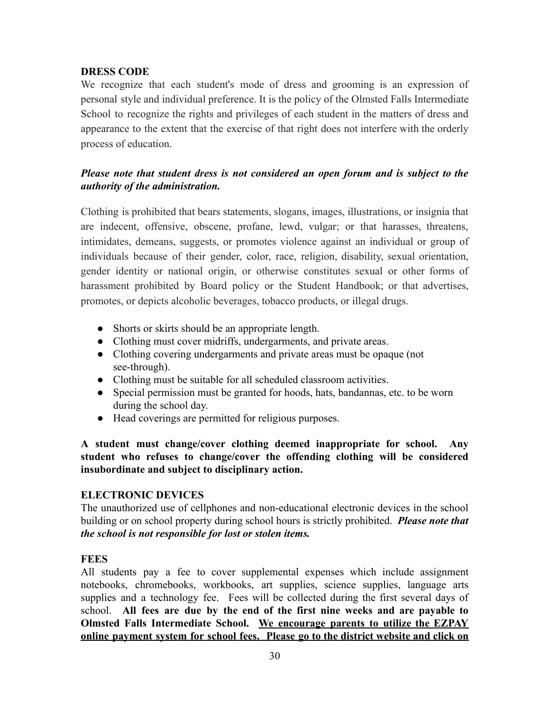#### **DRESS CODE**

We recognize that each student's mode of dress and grooming is an expression of personal style and individual preference. It is the policy of the Olmsted Falls Intermediate School to recognize the rights and privileges of each student in the matters of dress and appearance to the extent that the exercise of that right does not interfere with the orderly process of education.

# *Please note that student dress is not considered an open forum and is subject to the authority of the administration.*

Clothing is prohibited that bears statements, slogans, images, illustrations, or insignia that are indecent, offensive, obscene, profane, lewd, vulgar; or that harasses, threatens, intimidates, demeans, suggests, or promotes violence against an individual or group of individuals because of their gender, color, race, religion, disability, sexual orientation, gender identity or national origin, or otherwise constitutes sexual or other forms of harassment prohibited by Board policy or the Student Handbook; or that advertises, promotes, or depicts alcoholic beverages, tobacco products, or illegal drugs.

- Shorts or skirts should be an appropriate length.
- Clothing must cover midriffs, undergarments, and private areas.
- Clothing covering undergarments and private areas must be opaque (not see-through).
- Clothing must be suitable for all scheduled classroom activities.
- Special permission must be granted for hoods, hats, bandannas, etc. to be worn during the school day.
- Head coverings are permitted for religious purposes.

**A student must change/cover clothing deemed inappropriate for school. Any student who refuses to change/cover the offending clothing will be considered insubordinate and subject to disciplinary action.**

#### **ELECTRONIC DEVICES**

The unauthorized use of cellphones and non-educational electronic devices in the school building or on school property during school hours is strictly prohibited. *Please note that the school is not responsible for lost or stolen items.*

## **FEES**

All students pay a fee to cover supplemental expenses which include assignment notebooks, chromebooks, workbooks, art supplies, science supplies, language arts supplies and a technology fee. Fees will be collected during the first several days of school. **All fees are due by the end of the first nine weeks and are payable to Olmsted Falls Intermediate School. We encourage parents to utilize the EZPAY online payment system for school fees. Please go to the district website and click on**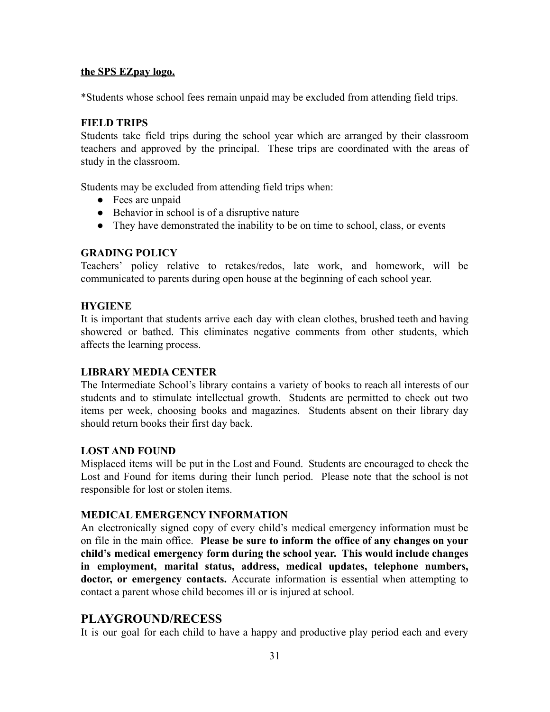#### **the SPS EZpay logo.**

\*Students whose school fees remain unpaid may be excluded from attending field trips.

#### **FIELD TRIPS**

Students take field trips during the school year which are arranged by their classroom teachers and approved by the principal. These trips are coordinated with the areas of study in the classroom.

Students may be excluded from attending field trips when:

- Fees are unpaid
- Behavior in school is of a disruptive nature
- They have demonstrated the inability to be on time to school, class, or events

#### **GRADING POLICY**

Teachers' policy relative to retakes/redos, late work, and homework, will be communicated to parents during open house at the beginning of each school year.

#### **HYGIENE**

It is important that students arrive each day with clean clothes, brushed teeth and having showered or bathed. This eliminates negative comments from other students, which affects the learning process.

## **LIBRARY MEDIA CENTER**

The Intermediate School's library contains a variety of books to reach all interests of our students and to stimulate intellectual growth. Students are permitted to check out two items per week, choosing books and magazines. Students absent on their library day should return books their first day back.

#### **LOST AND FOUND**

Misplaced items will be put in the Lost and Found. Students are encouraged to check the Lost and Found for items during their lunch period. Please note that the school is not responsible for lost or stolen items.

#### **MEDICAL EMERGENCY INFORMATION**

An electronically signed copy of every child's medical emergency information must be on file in the main office. **Please be sure to inform the office of any changes on your child's medical emergency form during the school year. This would include changes in employment, marital status, address, medical updates, telephone numbers, doctor, or emergency contacts.** Accurate information is essential when attempting to contact a parent whose child becomes ill or is injured at school.

# **PLAYGROUND/RECESS**

It is our goal for each child to have a happy and productive play period each and every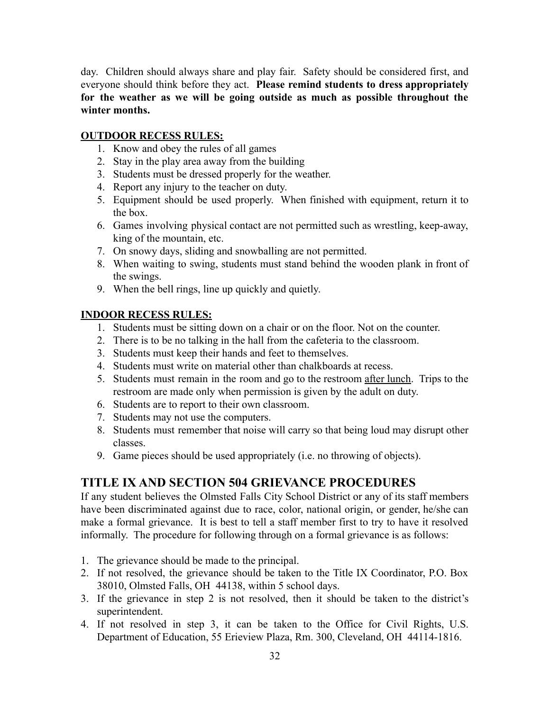day. Children should always share and play fair. Safety should be considered first, and everyone should think before they act. **Please remind students to dress appropriately for the weather as we will be going outside as much as possible throughout the winter months.**

#### **OUTDOOR RECESS RULES:**

- 1. Know and obey the rules of all games
- 2. Stay in the play area away from the building
- 3. Students must be dressed properly for the weather.
- 4. Report any injury to the teacher on duty.
- 5. Equipment should be used properly. When finished with equipment, return it to the box.
- 6. Games involving physical contact are not permitted such as wrestling, keep-away, king of the mountain, etc.
- 7. On snowy days, sliding and snowballing are not permitted.
- 8. When waiting to swing, students must stand behind the wooden plank in front of the swings.
- 9. When the bell rings, line up quickly and quietly.

#### **INDOOR RECESS RULES:**

- 1. Students must be sitting down on a chair or on the floor. Not on the counter.
- 2. There is to be no talking in the hall from the cafeteria to the classroom.
- 3. Students must keep their hands and feet to themselves.
- 4. Students must write on material other than chalkboards at recess.
- 5. Students must remain in the room and go to the restroom after lunch. Trips to the restroom are made only when permission is given by the adult on duty.
- 6. Students are to report to their own classroom.
- 7. Students may not use the computers.
- 8. Students must remember that noise will carry so that being loud may disrupt other classes.
- 9. Game pieces should be used appropriately (i.e. no throwing of objects).

# **TITLE IX AND SECTION 504 GRIEVANCE PROCEDURES**

If any student believes the Olmsted Falls City School District or any of its staff members have been discriminated against due to race, color, national origin, or gender, he/she can make a formal grievance. It is best to tell a staff member first to try to have it resolved informally. The procedure for following through on a formal grievance is as follows:

- 1. The grievance should be made to the principal.
- 2. If not resolved, the grievance should be taken to the Title IX Coordinator, P.O. Box 38010, Olmsted Falls, OH 44138, within 5 school days.
- 3. If the grievance in step 2 is not resolved, then it should be taken to the district's superintendent.
- 4. If not resolved in step 3, it can be taken to the Office for Civil Rights, U.S. Department of Education, 55 Erieview Plaza, Rm. 300, Cleveland, OH 44114-1816.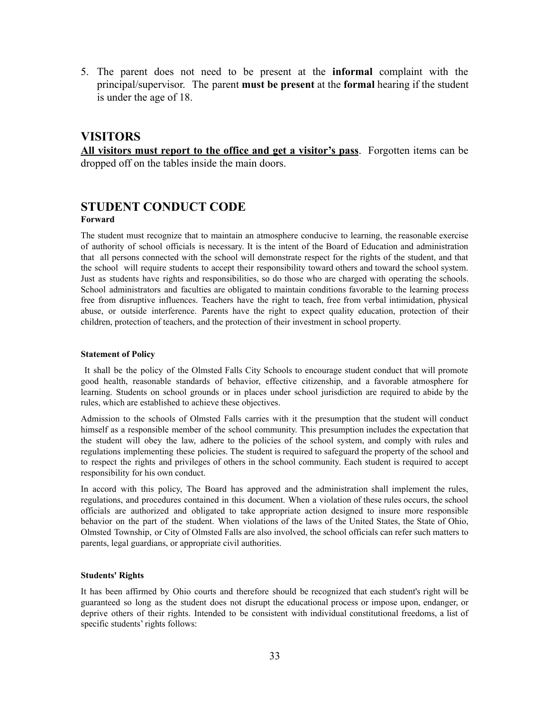5. The parent does not need to be present at the **informal** complaint with the principal/supervisor. The parent **must be present** at the **formal** hearing if the student is under the age of 18.

#### **VISITORS**

**All visitors must report to the office and get a visitor's pass**. Forgotten items can be dropped off on the tables inside the main doors.

# **STUDENT CONDUCT CODE**

#### **Forward**

The student must recognize that to maintain an atmosphere conducive to learning, the reasonable exercise of authority of school officials is necessary. It is the intent of the Board of Education and administration that all persons connected with the school will demonstrate respect for the rights of the student, and that the school will require students to accept their responsibility toward others and toward the school system. Just as students have rights and responsibilities, so do those who are charged with operating the schools. School administrators and faculties are obligated to maintain conditions favorable to the learning process free from disruptive influences. Teachers have the right to teach, free from verbal intimidation, physical abuse, or outside interference. Parents have the right to expect quality education, protection of their children, protection of teachers, and the protection of their investment in school property.

#### **Statement of Policy**

It shall be the policy of the Olmsted Falls City Schools to encourage student conduct that will promote good health, reasonable standards of behavior, effective citizenship, and a favorable atmosphere for learning. Students on school grounds or in places under school jurisdiction are required to abide by the rules, which are established to achieve these objectives.

Admission to the schools of Olmsted Falls carries with it the presumption that the student will conduct himself as a responsible member of the school community. This presumption includes the expectation that the student will obey the law, adhere to the policies of the school system, and comply with rules and regulations implementing these policies. The student is required to safeguard the property of the school and to respect the rights and privileges of others in the school community. Each student is required to accept responsibility for his own conduct.

In accord with this policy, The Board has approved and the administration shall implement the rules, regulations, and procedures contained in this document. When a violation of these rules occurs, the school officials are authorized and obligated to take appropriate action designed to insure more responsible behavior on the part of the student. When violations of the laws of the United States, the State of Ohio, Olmsted Township, or City of Olmsted Falls are also involved, the school officials can refer such matters to parents, legal guardians, or appropriate civil authorities.

#### **Students' Rights**

It has been affirmed by Ohio courts and therefore should be recognized that each student's right will be guaranteed so long as the student does not disrupt the educational process or impose upon, endanger, or deprive others of their rights. Intended to be consistent with individual constitutional freedoms, a list of specific students' rights follows: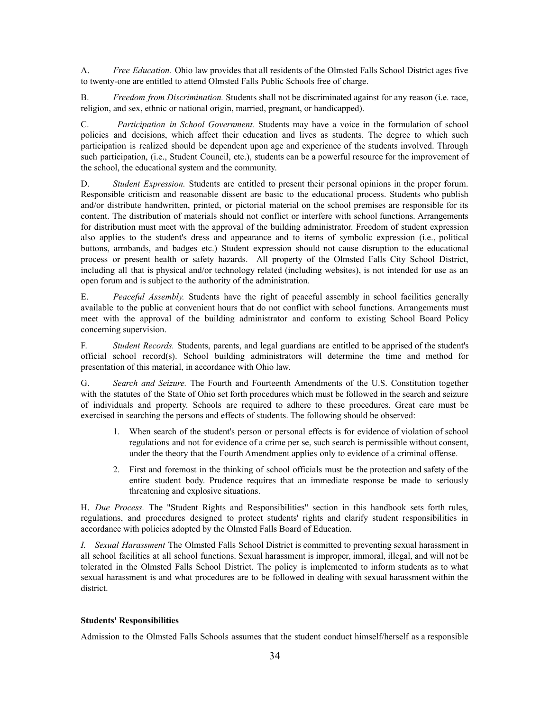A. *Free Education.* Ohio law provides that all residents of the Olmsted Falls School District ages five to twenty-one are entitled to attend Olmsted Falls Public Schools free of charge.

B. *Freedom from Discrimination.* Students shall not be discriminated against for any reason (i.e. race, religion, and sex, ethnic or national origin, married, pregnant, or handicapped).

C. *Participation in School Government.* Students may have a voice in the formulation of school policies and decisions, which affect their education and lives as students. The degree to which such participation is realized should be dependent upon age and experience of the students involved. Through such participation, (i.e., Student Council, etc.), students can be a powerful resource for the improvement of the school, the educational system and the community.

D. *Student Expression.* Students are entitled to present their personal opinions in the proper forum. Responsible criticism and reasonable dissent are basic to the educational process. Students who publish and/or distribute handwritten, printed, or pictorial material on the school premises are responsible for its content. The distribution of materials should not conflict or interfere with school functions. Arrangements for distribution must meet with the approval of the building administrator. Freedom of student expression also applies to the student's dress and appearance and to items of symbolic expression (i.e., political buttons, armbands, and badges etc.) Student expression should not cause disruption to the educational process or present health or safety hazards. All property of the Olmsted Falls City School District, including all that is physical and/or technology related (including websites), is not intended for use as an open forum and is subject to the authority of the administration.

E. *Peaceful Assembly.* Students have the right of peaceful assembly in school facilities generally available to the public at convenient hours that do not conflict with school functions. Arrangements must meet with the approval of the building administrator and conform to existing School Board Policy concerning supervision.

F. *Student Records.* Students, parents, and legal guardians are entitled to be apprised of the student's official school record(s). School building administrators will determine the time and method for presentation of this material, in accordance with Ohio law.

G. *Search and Seizure.* The Fourth and Fourteenth Amendments of the U.S. Constitution together with the statutes of the State of Ohio set forth procedures which must be followed in the search and seizure of individuals and property. Schools are required to adhere to these procedures. Great care must be exercised in searching the persons and effects of students. The following should be observed:

- 1. When search of the student's person or personal effects is for evidence of violation of school regulations and not for evidence of a crime per se, such search is permissible without consent, under the theory that the Fourth Amendment applies only to evidence of a criminal offense.
- 2. First and foremost in the thinking of school officials must be the protection and safety of the entire student body. Prudence requires that an immediate response be made to seriously threatening and explosive situations.

H. *Due Process.* The "Student Rights and Responsibilities" section in this handbook sets forth rules, regulations, and procedures designed to protect students' rights and clarify student responsibilities in accordance with policies adopted by the Olmsted Falls Board of Education.

*I. Sexual Harassment* The Olmsted Falls School District is committed to preventing sexual harassment in all school facilities at all school functions. Sexual harassment is improper, immoral, illegal, and will not be tolerated in the Olmsted Falls School District. The policy is implemented to inform students as to what sexual harassment is and what procedures are to be followed in dealing with sexual harassment within the district.

#### **Students' Responsibilities**

Admission to the Olmsted Falls Schools assumes that the student conduct himself/herself as a responsible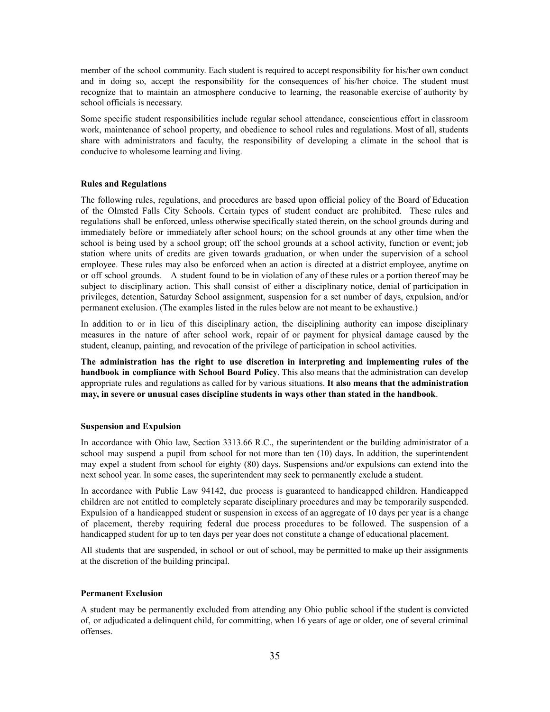member of the school community. Each student is required to accept responsibility for his/her own conduct and in doing so, accept the responsibility for the consequences of his/her choice. The student must recognize that to maintain an atmosphere conducive to learning, the reasonable exercise of authority by school officials is necessary.

Some specific student responsibilities include regular school attendance, conscientious effort in classroom work, maintenance of school property, and obedience to school rules and regulations. Most of all, students share with administrators and faculty, the responsibility of developing a climate in the school that is conducive to wholesome learning and living.

#### **Rules and Regulations**

The following rules, regulations, and procedures are based upon official policy of the Board of Education of the Olmsted Falls City Schools. Certain types of student conduct are prohibited. These rules and regulations shall be enforced, unless otherwise specifically stated therein, on the school grounds during and immediately before or immediately after school hours; on the school grounds at any other time when the school is being used by a school group; off the school grounds at a school activity, function or event; job station where units of credits are given towards graduation, or when under the supervision of a school employee. These rules may also be enforced when an action is directed at a district employee, anytime on or off school grounds. A student found to be in violation of any of these rules or a portion thereof may be subject to disciplinary action. This shall consist of either a disciplinary notice, denial of participation in privileges, detention, Saturday School assignment, suspension for a set number of days, expulsion, and/or permanent exclusion. (The examples listed in the rules below are not meant to be exhaustive.)

In addition to or in lieu of this disciplinary action, the disciplining authority can impose disciplinary measures in the nature of after school work, repair of or payment for physical damage caused by the student, cleanup, painting, and revocation of the privilege of participation in school activities.

**The administration has the right to use discretion in interpreting and implementing rules of the handbook in compliance with School Board Policy**. This also means that the administration can develop appropriate rules and regulations as called for by various situations. **It also means that the administration may, in severe or unusual cases discipline students in ways other than stated in the handbook**.

#### **Suspension and Expulsion**

In accordance with Ohio law, Section 3313.66 R.C., the superintendent or the building administrator of a school may suspend a pupil from school for not more than ten (10) days. In addition, the superintendent may expel a student from school for eighty (80) days. Suspensions and/or expulsions can extend into the next school year. In some cases, the superintendent may seek to permanently exclude a student.

In accordance with Public Law 94142, due process is guaranteed to handicapped children. Handicapped children are not entitled to completely separate disciplinary procedures and may be temporarily suspended. Expulsion of a handicapped student or suspension in excess of an aggregate of 10 days per year is a change of placement, thereby requiring federal due process procedures to be followed. The suspension of a handicapped student for up to ten days per year does not constitute a change of educational placement.

All students that are suspended, in school or out of school, may be permitted to make up their assignments at the discretion of the building principal.

#### **Permanent Exclusion**

A student may be permanently excluded from attending any Ohio public school if the student is convicted of, or adjudicated a delinquent child, for committing, when 16 years of age or older, one of several criminal offenses.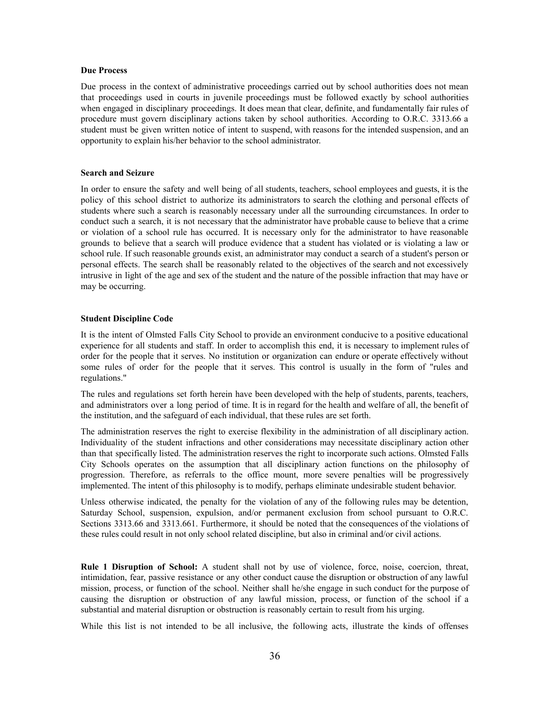#### **Due Process**

Due process in the context of administrative proceedings carried out by school authorities does not mean that proceedings used in courts in juvenile proceedings must be followed exactly by school authorities when engaged in disciplinary proceedings. It does mean that clear, definite, and fundamentally fair rules of procedure must govern disciplinary actions taken by school authorities. According to O.R.C. 3313.66 a student must be given written notice of intent to suspend, with reasons for the intended suspension, and an opportunity to explain his/her behavior to the school administrator.

#### **Search and Seizure**

In order to ensure the safety and well being of all students, teachers, school employees and guests, it is the policy of this school district to authorize its administrators to search the clothing and personal effects of students where such a search is reasonably necessary under all the surrounding circumstances. In order to conduct such a search, it is not necessary that the administrator have probable cause to believe that a crime or violation of a school rule has occurred. It is necessary only for the administrator to have reasonable grounds to believe that a search will produce evidence that a student has violated or is violating a law or school rule. If such reasonable grounds exist, an administrator may conduct a search of a student's person or personal effects. The search shall be reasonably related to the objectives of the search and not excessively intrusive in light of the age and sex of the student and the nature of the possible infraction that may have or may be occurring.

#### **Student Discipline Code**

It is the intent of Olmsted Falls City School to provide an environment conducive to a positive educational experience for all students and staff. In order to accomplish this end, it is necessary to implement rules of order for the people that it serves. No institution or organization can endure or operate effectively without some rules of order for the people that it serves. This control is usually in the form of "rules and regulations."

The rules and regulations set forth herein have been developed with the help of students, parents, teachers, and administrators over a long period of time. It is in regard for the health and welfare of all, the benefit of the institution, and the safeguard of each individual, that these rules are set forth.

The administration reserves the right to exercise flexibility in the administration of all disciplinary action. Individuality of the student infractions and other considerations may necessitate disciplinary action other than that specifically listed. The administration reserves the right to incorporate such actions. Olmsted Falls City Schools operates on the assumption that all disciplinary action functions on the philosophy of progression. Therefore, as referrals to the office mount, more severe penalties will be progressively implemented. The intent of this philosophy is to modify, perhaps eliminate undesirable student behavior.

Unless otherwise indicated, the penalty for the violation of any of the following rules may be detention, Saturday School, suspension, expulsion, and/or permanent exclusion from school pursuant to O.R.C. Sections 3313.66 and 3313.661. Furthermore, it should be noted that the consequences of the violations of these rules could result in not only school related discipline, but also in criminal and/or civil actions.

**Rule 1 Disruption of School:** A student shall not by use of violence, force, noise, coercion, threat, intimidation, fear, passive resistance or any other conduct cause the disruption or obstruction of any lawful mission, process, or function of the school. Neither shall he/she engage in such conduct for the purpose of causing the disruption or obstruction of any lawful mission, process, or function of the school if a substantial and material disruption or obstruction is reasonably certain to result from his urging.

While this list is not intended to be all inclusive, the following acts, illustrate the kinds of offenses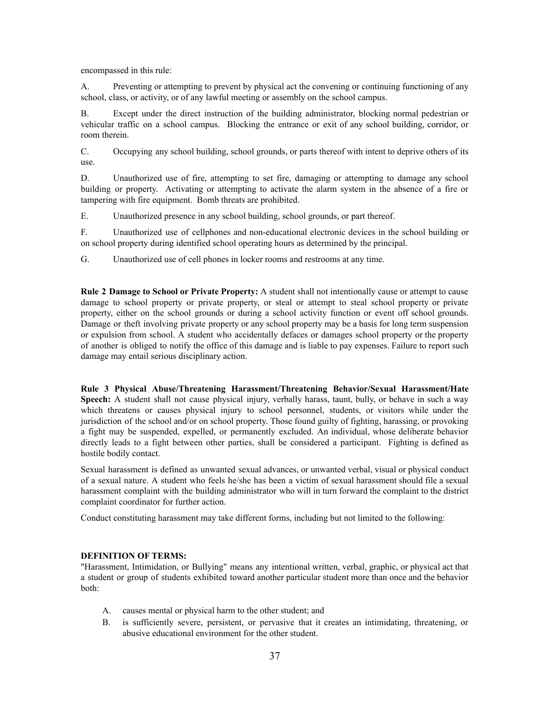encompassed in this rule:

A. Preventing or attempting to prevent by physical act the convening or continuing functioning of any school, class, or activity, or of any lawful meeting or assembly on the school campus.

B. Except under the direct instruction of the building administrator, blocking normal pedestrian or vehicular traffic on a school campus. Blocking the entrance or exit of any school building, corridor, or room therein.

C. Occupying any school building, school grounds, or parts thereof with intent to deprive others of its use.

D. Unauthorized use of fire, attempting to set fire, damaging or attempting to damage any school building or property. Activating or attempting to activate the alarm system in the absence of a fire or tampering with fire equipment. Bomb threats are prohibited.

E. Unauthorized presence in any school building, school grounds, or part thereof.

F. Unauthorized use of cellphones and non-educational electronic devices in the school building or on school property during identified school operating hours as determined by the principal.

G. Unauthorized use of cell phones in locker rooms and restrooms at any time.

**Rule 2 Damage to School or Private Property:** A student shall not intentionally cause or attempt to cause damage to school property or private property, or steal or attempt to steal school property or private property, either on the school grounds or during a school activity function or event off school grounds. Damage or theft involving private property or any school property may be a basis for long term suspension or expulsion from school. A student who accidentally defaces or damages school property or the property of another is obliged to notify the office of this damage and is liable to pay expenses. Failure to report such damage may entail serious disciplinary action.

**Rule 3 Physical Abuse/Threatening Harassment/Threatening Behavior/Sexual Harassment/Hate Speech:** A student shall not cause physical injury, verbally harass, taunt, bully, or behave in such a way which threatens or causes physical injury to school personnel, students, or visitors while under the jurisdiction of the school and/or on school property. Those found guilty of fighting, harassing, or provoking a fight may be suspended, expelled, or permanently excluded. An individual, whose deliberate behavior directly leads to a fight between other parties, shall be considered a participant. Fighting is defined as hostile bodily contact.

Sexual harassment is defined as unwanted sexual advances, or unwanted verbal, visual or physical conduct of a sexual nature. A student who feels he/she has been a victim of sexual harassment should file a sexual harassment complaint with the building administrator who will in turn forward the complaint to the district complaint coordinator for further action.

Conduct constituting harassment may take different forms, including but not limited to the following:

#### **DEFINITION OF TERMS:**

"Harassment, Intimidation, or Bullying" means any intentional written, verbal, graphic, or physical act that a student or group of students exhibited toward another particular student more than once and the behavior both:

- A. causes mental or physical harm to the other student; and
- B. is sufficiently severe, persistent, or pervasive that it creates an intimidating, threatening, or abusive educational environment for the other student.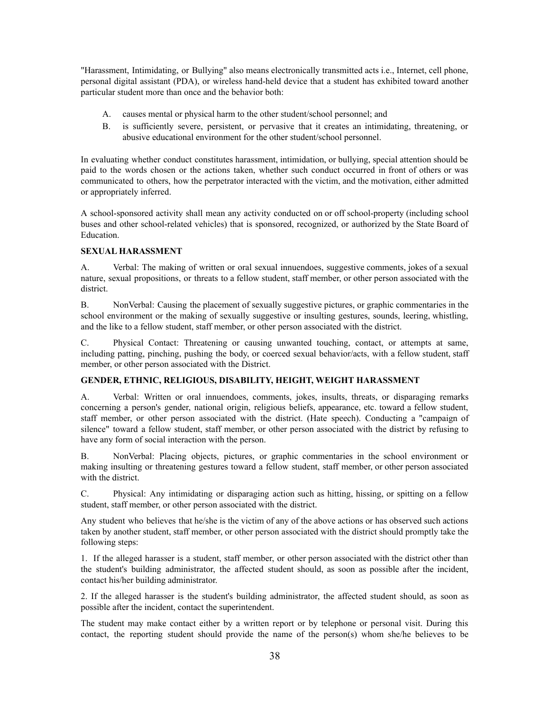"Harassment, Intimidating, or Bullying" also means electronically transmitted acts i.e., Internet, cell phone, personal digital assistant (PDA), or wireless hand-held device that a student has exhibited toward another particular student more than once and the behavior both:

- A. causes mental or physical harm to the other student/school personnel; and
- B. is sufficiently severe, persistent, or pervasive that it creates an intimidating, threatening, or abusive educational environment for the other student/school personnel.

In evaluating whether conduct constitutes harassment, intimidation, or bullying, special attention should be paid to the words chosen or the actions taken, whether such conduct occurred in front of others or was communicated to others, how the perpetrator interacted with the victim, and the motivation, either admitted or appropriately inferred.

A school-sponsored activity shall mean any activity conducted on or off school-property (including school buses and other school-related vehicles) that is sponsored, recognized, or authorized by the State Board of Education.

#### **SEXUAL HARASSMENT**

A. Verbal: The making of written or oral sexual innuendoes, suggestive comments, jokes of a sexual nature, sexual propositions, or threats to a fellow student, staff member, or other person associated with the district.

B. NonVerbal: Causing the placement of sexually suggestive pictures, or graphic commentaries in the school environment or the making of sexually suggestive or insulting gestures, sounds, leering, whistling, and the like to a fellow student, staff member, or other person associated with the district.

C. Physical Contact: Threatening or causing unwanted touching, contact, or attempts at same, including patting, pinching, pushing the body, or coerced sexual behavior/acts, with a fellow student, staff member, or other person associated with the District.

#### **GENDER, ETHNIC, RELIGIOUS, DISABILITY, HEIGHT, WEIGHT HARASSMENT**

A. Verbal: Written or oral innuendoes, comments, jokes, insults, threats, or disparaging remarks concerning a person's gender, national origin, religious beliefs, appearance, etc. toward a fellow student, staff member, or other person associated with the district. (Hate speech). Conducting a "campaign of silence" toward a fellow student, staff member, or other person associated with the district by refusing to have any form of social interaction with the person.

B. NonVerbal: Placing objects, pictures, or graphic commentaries in the school environment or making insulting or threatening gestures toward a fellow student, staff member, or other person associated with the district.

C. Physical: Any intimidating or disparaging action such as hitting, hissing, or spitting on a fellow student, staff member, or other person associated with the district.

Any student who believes that he/she is the victim of any of the above actions or has observed such actions taken by another student, staff member, or other person associated with the district should promptly take the following steps:

1. If the alleged harasser is a student, staff member, or other person associated with the district other than the student's building administrator, the affected student should, as soon as possible after the incident, contact his/her building administrator.

2. If the alleged harasser is the student's building administrator, the affected student should, as soon as possible after the incident, contact the superintendent.

The student may make contact either by a written report or by telephone or personal visit. During this contact, the reporting student should provide the name of the person(s) whom she/he believes to be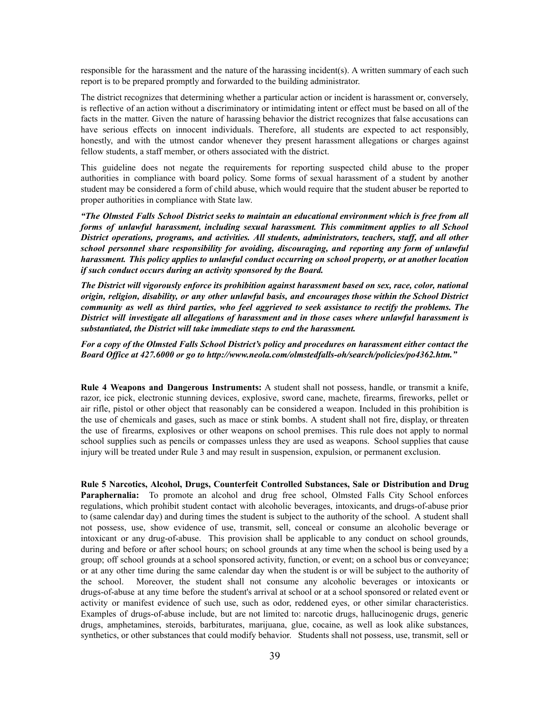responsible for the harassment and the nature of the harassing incident(s). A written summary of each such report is to be prepared promptly and forwarded to the building administrator.

The district recognizes that determining whether a particular action or incident is harassment or, conversely, is reflective of an action without a discriminatory or intimidating intent or effect must be based on all of the facts in the matter. Given the nature of harassing behavior the district recognizes that false accusations can have serious effects on innocent individuals. Therefore, all students are expected to act responsibly, honestly, and with the utmost candor whenever they present harassment allegations or charges against fellow students, a staff member, or others associated with the district.

This guideline does not negate the requirements for reporting suspected child abuse to the proper authorities in compliance with board policy. Some forms of sexual harassment of a student by another student may be considered a form of child abuse, which would require that the student abuser be reported to proper authorities in compliance with State law.

*"The Olmsted Falls School District seeks to maintain an educational environment which is free from all forms of unlawful harassment, including sexual harassment. This commitment applies to all School District operations, programs, and activities. All students, administrators, teachers, staf , and all other school personnel share responsibility for avoiding, discouraging, and reporting any form of unlawful harassment. This policy applies to unlawful conduct occurring on school property, or at another location if such conduct occurs during an activity sponsored by the Board.*

*The District will vigorously enforce its prohibition against harassment based on sex, race, color, national origin, religion, disability, or any other unlawful basis, and encourages those within the School District community as well as third parties, who feel aggrieved to seek assistance to rectify the problems. The District will investigate all allegations of harassment and in those cases where unlawful harassment is substantiated, the District will take immediate steps to end the harassment.*

*For a copy of the Olmsted Falls School District's policy and procedures on harassment either contact the Board Of ice at 427.6000 or go to http://www.neola.com/olmstedfalls-oh/search/policies/po4362.htm."*

**Rule 4 Weapons and Dangerous Instruments:** A student shall not possess, handle, or transmit a knife, razor, ice pick, electronic stunning devices, explosive, sword cane, machete, firearms, fireworks, pellet or air rifle, pistol or other object that reasonably can be considered a weapon. Included in this prohibition is the use of chemicals and gases, such as mace or stink bombs. A student shall not fire, display, or threaten the use of firearms, explosives or other weapons on school premises. This rule does not apply to normal school supplies such as pencils or compasses unless they are used as weapons. School supplies that cause injury will be treated under Rule 3 and may result in suspension, expulsion, or permanent exclusion.

**Rule 5 Narcotics, Alcohol, Drugs, Counterfeit Controlled Substances, Sale or Distribution and Drug Paraphernalia:** To promote an alcohol and drug free school, Olmsted Falls City School enforces regulations, which prohibit student contact with alcoholic beverages, intoxicants, and drugs-of-abuse prior to (same calendar day) and during times the student is subject to the authority of the school. A student shall not possess, use, show evidence of use, transmit, sell, conceal or consume an alcoholic beverage or intoxicant or any drug-of-abuse. This provision shall be applicable to any conduct on school grounds, during and before or after school hours; on school grounds at any time when the school is being used by a group; off school grounds at a school sponsored activity, function, or event; on a school bus or conveyance; or at any other time during the same calendar day when the student is or will be subject to the authority of the school. Moreover, the student shall not consume any alcoholic beverages or intoxicants or drugs-of-abuse at any time before the student's arrival at school or at a school sponsored or related event or activity or manifest evidence of such use, such as odor, reddened eyes, or other similar characteristics. Examples of drugs-of-abuse include, but are not limited to: narcotic drugs, hallucinogenic drugs, generic drugs, amphetamines, steroids, barbiturates, marijuana, glue, cocaine, as well as look alike substances, synthetics, or other substances that could modify behavior. Students shall not possess, use, transmit, sell or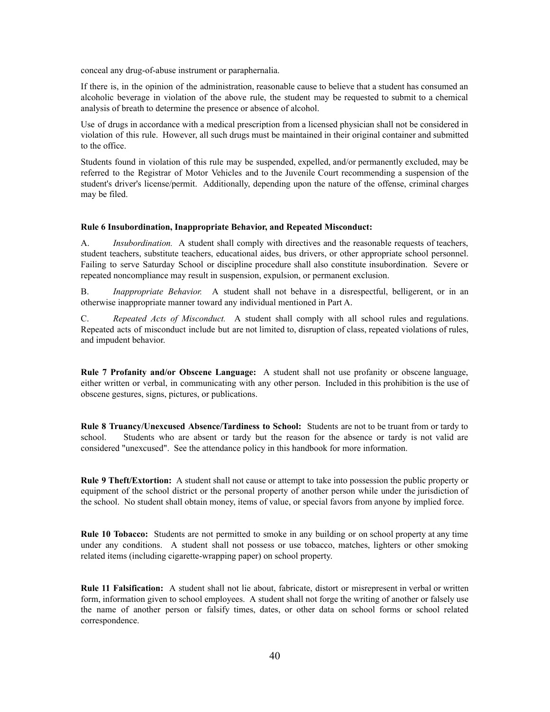conceal any drug-of-abuse instrument or paraphernalia.

If there is, in the opinion of the administration, reasonable cause to believe that a student has consumed an alcoholic beverage in violation of the above rule, the student may be requested to submit to a chemical analysis of breath to determine the presence or absence of alcohol.

Use of drugs in accordance with a medical prescription from a licensed physician shall not be considered in violation of this rule. However, all such drugs must be maintained in their original container and submitted to the office.

Students found in violation of this rule may be suspended, expelled, and/or permanently excluded, may be referred to the Registrar of Motor Vehicles and to the Juvenile Court recommending a suspension of the student's driver's license/permit. Additionally, depending upon the nature of the offense, criminal charges may be filed.

#### **Rule 6 Insubordination, Inappropriate Behavior, and Repeated Misconduct:**

A. *Insubordination.* A student shall comply with directives and the reasonable requests of teachers, student teachers, substitute teachers, educational aides, bus drivers, or other appropriate school personnel. Failing to serve Saturday School or discipline procedure shall also constitute insubordination. Severe or repeated noncompliance may result in suspension, expulsion, or permanent exclusion.

B. *Inappropriate Behavior.* A student shall not behave in a disrespectful, belligerent, or in an otherwise inappropriate manner toward any individual mentioned in Part A.

C. *Repeated Acts of Misconduct.* A student shall comply with all school rules and regulations. Repeated acts of misconduct include but are not limited to, disruption of class, repeated violations of rules, and impudent behavior.

**Rule 7 Profanity and/or Obscene Language:** A student shall not use profanity or obscene language, either written or verbal, in communicating with any other person. Included in this prohibition is the use of obscene gestures, signs, pictures, or publications.

**Rule 8 Truancy/Unexcused Absence/Tardiness to School:** Students are not to be truant from or tardy to school. Students who are absent or tardy but the reason for the absence or tardy is not valid are considered "unexcused". See the attendance policy in this handbook for more information.

**Rule 9 Theft/Extortion:** A student shall not cause or attempt to take into possession the public property or equipment of the school district or the personal property of another person while under the jurisdiction of the school. No student shall obtain money, items of value, or special favors from anyone by implied force.

**Rule 10 Tobacco:** Students are not permitted to smoke in any building or on school property at any time under any conditions. A student shall not possess or use tobacco, matches, lighters or other smoking related items (including cigarette-wrapping paper) on school property.

**Rule 11 Falsification:** A student shall not lie about, fabricate, distort or misrepresent in verbal or written form, information given to school employees. A student shall not forge the writing of another or falsely use the name of another person or falsify times, dates, or other data on school forms or school related correspondence.